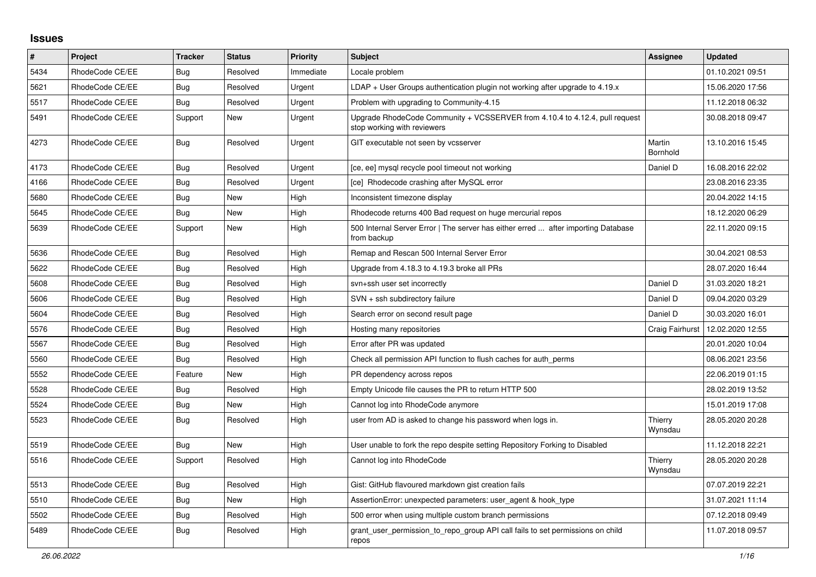## **Issues**

| #    | Project         | <b>Tracker</b> | <b>Status</b> | <b>Priority</b> | <b>Subject</b>                                                                                             | Assignee           | <b>Updated</b>   |
|------|-----------------|----------------|---------------|-----------------|------------------------------------------------------------------------------------------------------------|--------------------|------------------|
| 5434 | RhodeCode CE/EE | Bug            | Resolved      | Immediate       | Locale problem                                                                                             |                    | 01.10.2021 09:51 |
| 5621 | RhodeCode CE/EE | Bug            | Resolved      | Urgent          | $LDAP + User Groups$ authentication plugin not working after upgrade to 4.19. $x$                          |                    | 15.06.2020 17:56 |
| 5517 | RhodeCode CE/EE | Bug            | Resolved      | Urgent          | Problem with upgrading to Community-4.15                                                                   |                    | 11.12.2018 06:32 |
| 5491 | RhodeCode CE/EE | Support        | New           | Urgent          | Upgrade RhodeCode Community + VCSSERVER from 4.10.4 to 4.12.4, pull request<br>stop working with reviewers |                    | 30.08.2018 09:47 |
| 4273 | RhodeCode CE/EE | Bug            | Resolved      | Urgent          | GIT executable not seen by vcsserver                                                                       | Martin<br>Bornhold | 13.10.2016 15:45 |
| 4173 | RhodeCode CE/EE | Bug            | Resolved      | Urgent          | [ce, ee] mysql recycle pool timeout not working                                                            | Daniel D           | 16.08.2016 22:02 |
| 4166 | RhodeCode CE/EE | Bug            | Resolved      | Urgent          | [ce] Rhodecode crashing after MySQL error                                                                  |                    | 23.08.2016 23:35 |
| 5680 | RhodeCode CE/EE | Bug            | New           | High            | Inconsistent timezone display                                                                              |                    | 20.04.2022 14:15 |
| 5645 | RhodeCode CE/EE | Bug            | <b>New</b>    | High            | Rhodecode returns 400 Bad request on huge mercurial repos                                                  |                    | 18.12.2020 06:29 |
| 5639 | RhodeCode CE/EE | Support        | <b>New</b>    | High            | 500 Internal Server Error   The server has either erred  after importing Database<br>from backup           |                    | 22.11.2020 09:15 |
| 5636 | RhodeCode CE/EE | <b>Bug</b>     | Resolved      | High            | Remap and Rescan 500 Internal Server Error                                                                 |                    | 30.04.2021 08:53 |
| 5622 | RhodeCode CE/EE | Bug            | Resolved      | High            | Upgrade from 4.18.3 to 4.19.3 broke all PRs                                                                |                    | 28.07.2020 16:44 |
| 5608 | RhodeCode CE/EE | Bug            | Resolved      | High            | svn+ssh user set incorrectly                                                                               | Daniel D           | 31.03.2020 18:21 |
| 5606 | RhodeCode CE/EE | Bug            | Resolved      | High            | SVN + ssh subdirectory failure                                                                             | Daniel D           | 09.04.2020 03:29 |
| 5604 | RhodeCode CE/EE | Bug            | Resolved      | High            | Search error on second result page                                                                         | Daniel D           | 30.03.2020 16:01 |
| 5576 | RhodeCode CE/EE | Bug            | Resolved      | High            | Hosting many repositories                                                                                  | Craig Fairhurst    | 12.02.2020 12:55 |
| 5567 | RhodeCode CE/EE | Bug            | Resolved      | High            | Error after PR was updated                                                                                 |                    | 20.01.2020 10:04 |
| 5560 | RhodeCode CE/EE | Bug            | Resolved      | High            | Check all permission API function to flush caches for auth_perms                                           |                    | 08.06.2021 23:56 |
| 5552 | RhodeCode CE/EE | Feature        | <b>New</b>    | High            | PR dependency across repos                                                                                 |                    | 22.06.2019 01:15 |
| 5528 | RhodeCode CE/EE | Bug            | Resolved      | High            | Empty Unicode file causes the PR to return HTTP 500                                                        |                    | 28.02.2019 13:52 |
| 5524 | RhodeCode CE/EE | Bug            | New           | High            | Cannot log into RhodeCode anymore                                                                          |                    | 15.01.2019 17:08 |
| 5523 | RhodeCode CE/EE | <b>Bug</b>     | Resolved      | High            | user from AD is asked to change his password when logs in.                                                 | Thierry<br>Wynsdau | 28.05.2020 20:28 |
| 5519 | RhodeCode CE/EE | Bug            | New           | High            | User unable to fork the repo despite setting Repository Forking to Disabled                                |                    | 11.12.2018 22:21 |
| 5516 | RhodeCode CE/EE | Support        | Resolved      | High            | Cannot log into RhodeCode                                                                                  | Thierry<br>Wynsdau | 28.05.2020 20:28 |
| 5513 | RhodeCode CE/EE | Bug            | Resolved      | High            | Gist: GitHub flavoured markdown gist creation fails                                                        |                    | 07.07.2019 22:21 |
| 5510 | RhodeCode CE/EE | Bug            | <b>New</b>    | High            | AssertionError: unexpected parameters: user_agent & hook_type                                              |                    | 31.07.2021 11:14 |
| 5502 | RhodeCode CE/EE | Bug            | Resolved      | High            | 500 error when using multiple custom branch permissions                                                    |                    | 07.12.2018 09:49 |
| 5489 | RhodeCode CE/EE | <b>Bug</b>     | Resolved      | High            | grant user permission to repo group API call fails to set permissions on child<br>repos                    |                    | 11.07.2018 09:57 |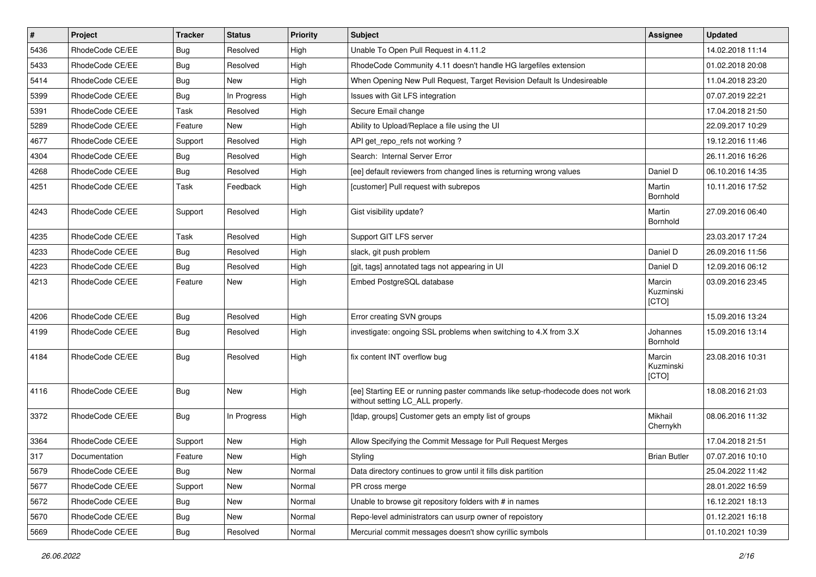| $\pmb{\#}$ | Project         | <b>Tracker</b> | <b>Status</b> | Priority | Subject                                                                                                            | <b>Assignee</b>              | <b>Updated</b>   |
|------------|-----------------|----------------|---------------|----------|--------------------------------------------------------------------------------------------------------------------|------------------------------|------------------|
| 5436       | RhodeCode CE/EE | Bug            | Resolved      | High     | Unable To Open Pull Request in 4.11.2                                                                              |                              | 14.02.2018 11:14 |
| 5433       | RhodeCode CE/EE | <b>Bug</b>     | Resolved      | High     | RhodeCode Community 4.11 doesn't handle HG largefiles extension                                                    |                              | 01.02.2018 20:08 |
| 5414       | RhodeCode CE/EE | Bug            | New           | High     | When Opening New Pull Request, Target Revision Default Is Undesireable                                             |                              | 11.04.2018 23:20 |
| 5399       | RhodeCode CE/EE | <b>Bug</b>     | In Progress   | High     | Issues with Git LFS integration                                                                                    |                              | 07.07.2019 22:21 |
| 5391       | RhodeCode CE/EE | Task           | Resolved      | High     | Secure Email change                                                                                                |                              | 17.04.2018 21:50 |
| 5289       | RhodeCode CE/EE | Feature        | <b>New</b>    | High     | Ability to Upload/Replace a file using the UI                                                                      |                              | 22.09.2017 10:29 |
| 4677       | RhodeCode CE/EE | Support        | Resolved      | High     | API get repo refs not working?                                                                                     |                              | 19.12.2016 11:46 |
| 4304       | RhodeCode CE/EE | Bug            | Resolved      | High     | Search: Internal Server Error                                                                                      |                              | 26.11.2016 16:26 |
| 4268       | RhodeCode CE/EE | Bug            | Resolved      | High     | [ee] default reviewers from changed lines is returning wrong values                                                | Daniel D                     | 06.10.2016 14:35 |
| 4251       | RhodeCode CE/EE | Task           | Feedback      | High     | [customer] Pull request with subrepos                                                                              | Martin<br>Bornhold           | 10.11.2016 17:52 |
| 4243       | RhodeCode CE/EE | Support        | Resolved      | High     | Gist visibility update?                                                                                            | Martin<br>Bornhold           | 27.09.2016 06:40 |
| 4235       | RhodeCode CE/EE | Task           | Resolved      | High     | Support GIT LFS server                                                                                             |                              | 23.03.2017 17:24 |
| 4233       | RhodeCode CE/EE | Bug            | Resolved      | High     | slack, git push problem                                                                                            | Daniel D                     | 26.09.2016 11:56 |
| 4223       | RhodeCode CE/EE | Bug            | Resolved      | High     | [git, tags] annotated tags not appearing in UI                                                                     | Daniel D                     | 12.09.2016 06:12 |
| 4213       | RhodeCode CE/EE | Feature        | New           | High     | Embed PostgreSQL database                                                                                          | Marcin<br>Kuzminski<br>[CTO] | 03.09.2016 23:45 |
| 4206       | RhodeCode CE/EE | Bug            | Resolved      | High     | Error creating SVN groups                                                                                          |                              | 15.09.2016 13:24 |
| 4199       | RhodeCode CE/EE | Bug            | Resolved      | High     | investigate: ongoing SSL problems when switching to 4.X from 3.X                                                   | Johannes<br>Bornhold         | 15.09.2016 13:14 |
| 4184       | RhodeCode CE/EE | Bug            | Resolved      | High     | fix content INT overflow bug                                                                                       | Marcin<br>Kuzminski<br>[CTO] | 23.08.2016 10:31 |
| 4116       | RhodeCode CE/EE | Bug            | New           | High     | [ee] Starting EE or running paster commands like setup-rhodecode does not work<br>without setting LC_ALL properly. |                              | 18.08.2016 21:03 |
| 3372       | RhodeCode CE/EE | Bug            | In Progress   | High     | [Idap, groups] Customer gets an empty list of groups                                                               | Mikhail<br>Chernykh          | 08.06.2016 11:32 |
| 3364       | RhodeCode CE/EE | Support        | New           | High     | Allow Specifying the Commit Message for Pull Request Merges                                                        |                              | 17.04.2018 21:51 |
| 317        | Documentation   | Feature        | New           | High     | Styling                                                                                                            | <b>Brian Butler</b>          | 07.07.2016 10:10 |
| 5679       | RhodeCode CE/EE | Bug            | New           | Normal   | Data directory continues to grow until it fills disk partition                                                     |                              | 25.04.2022 11:42 |
| 5677       | RhodeCode CE/EE | Support        | New           | Normal   | PR cross merge                                                                                                     |                              | 28.01.2022 16:59 |
| 5672       | RhodeCode CE/EE | <b>Bug</b>     | New           | Normal   | Unable to browse git repository folders with # in names                                                            |                              | 16.12.2021 18:13 |
| 5670       | RhodeCode CE/EE | <b>Bug</b>     | New           | Normal   | Repo-level administrators can usurp owner of repoistory                                                            |                              | 01.12.2021 16:18 |
| 5669       | RhodeCode CE/EE | <b>Bug</b>     | Resolved      | Normal   | Mercurial commit messages doesn't show cyrillic symbols                                                            |                              | 01.10.2021 10:39 |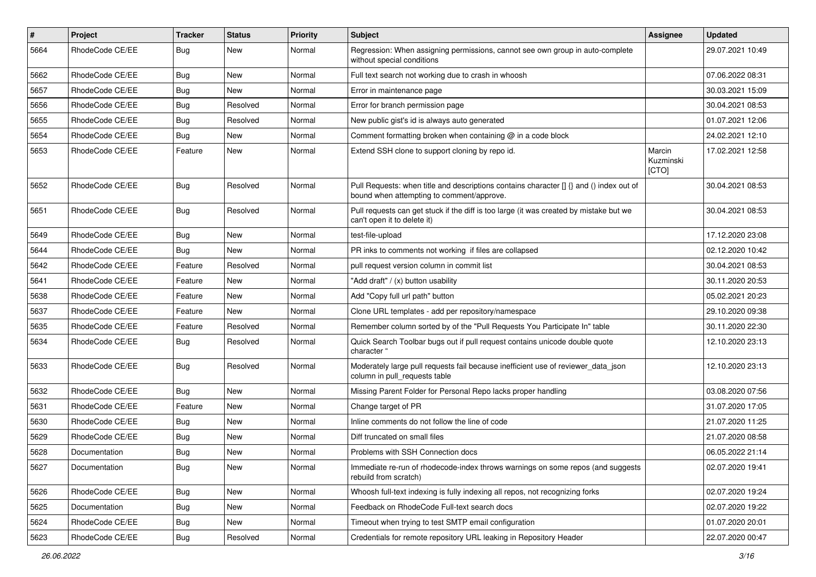| $\pmb{\#}$ | Project         | <b>Tracker</b> | <b>Status</b> | <b>Priority</b> | Subject                                                                                                                              | Assignee                     | <b>Updated</b>   |
|------------|-----------------|----------------|---------------|-----------------|--------------------------------------------------------------------------------------------------------------------------------------|------------------------------|------------------|
| 5664       | RhodeCode CE/EE | <b>Bug</b>     | New           | Normal          | Regression: When assigning permissions, cannot see own group in auto-complete<br>without special conditions                          |                              | 29.07.2021 10:49 |
| 5662       | RhodeCode CE/EE | Bug            | New           | Normal          | Full text search not working due to crash in whoosh                                                                                  |                              | 07.06.2022 08:31 |
| 5657       | RhodeCode CE/EE | <b>Bug</b>     | New           | Normal          | Error in maintenance page                                                                                                            |                              | 30.03.2021 15:09 |
| 5656       | RhodeCode CE/EE | Bug            | Resolved      | Normal          | Error for branch permission page                                                                                                     |                              | 30.04.2021 08:53 |
| 5655       | RhodeCode CE/EE | <b>Bug</b>     | Resolved      | Normal          | New public gist's id is always auto generated                                                                                        |                              | 01.07.2021 12:06 |
| 5654       | RhodeCode CE/EE | <b>Bug</b>     | New           | Normal          | Comment formatting broken when containing @ in a code block                                                                          |                              | 24.02.2021 12:10 |
| 5653       | RhodeCode CE/EE | Feature        | <b>New</b>    | Normal          | Extend SSH clone to support cloning by repo id.                                                                                      | Marcin<br>Kuzminski<br>[CTO] | 17.02.2021 12:58 |
| 5652       | RhodeCode CE/EE | <b>Bug</b>     | Resolved      | Normal          | Pull Requests: when title and descriptions contains character [] {} and () index out of<br>bound when attempting to comment/approve. |                              | 30.04.2021 08:53 |
| 5651       | RhodeCode CE/EE | Bug            | Resolved      | Normal          | Pull requests can get stuck if the diff is too large (it was created by mistake but we<br>can't open it to delete it)                |                              | 30.04.2021 08:53 |
| 5649       | RhodeCode CE/EE | Bug            | New           | Normal          | test-file-upload                                                                                                                     |                              | 17.12.2020 23:08 |
| 5644       | RhodeCode CE/EE | Bug            | New           | Normal          | PR inks to comments not working if files are collapsed                                                                               |                              | 02.12.2020 10:42 |
| 5642       | RhodeCode CE/EE | Feature        | Resolved      | Normal          | pull request version column in commit list                                                                                           |                              | 30.04.2021 08:53 |
| 5641       | RhodeCode CE/EE | Feature        | New           | Normal          | "Add draft" / (x) button usability                                                                                                   |                              | 30.11.2020 20:53 |
| 5638       | RhodeCode CE/EE | Feature        | New           | Normal          | Add "Copy full url path" button                                                                                                      |                              | 05.02.2021 20:23 |
| 5637       | RhodeCode CE/EE | Feature        | <b>New</b>    | Normal          | Clone URL templates - add per repository/namespace                                                                                   |                              | 29.10.2020 09:38 |
| 5635       | RhodeCode CE/EE | Feature        | Resolved      | Normal          | Remember column sorted by of the "Pull Requests You Participate In" table                                                            |                              | 30.11.2020 22:30 |
| 5634       | RhodeCode CE/EE | <b>Bug</b>     | Resolved      | Normal          | Quick Search Toolbar bugs out if pull request contains unicode double quote<br>character "                                           |                              | 12.10.2020 23:13 |
| 5633       | RhodeCode CE/EE | Bug            | Resolved      | Normal          | Moderately large pull requests fail because inefficient use of reviewer_data_json<br>column in pull requests table                   |                              | 12.10.2020 23:13 |
| 5632       | RhodeCode CE/EE | Bug            | <b>New</b>    | Normal          | Missing Parent Folder for Personal Repo lacks proper handling                                                                        |                              | 03.08.2020 07:56 |
| 5631       | RhodeCode CE/EE | Feature        | New           | Normal          | Change target of PR                                                                                                                  |                              | 31.07.2020 17:05 |
| 5630       | RhodeCode CE/EE | Bug            | <b>New</b>    | Normal          | Inline comments do not follow the line of code                                                                                       |                              | 21.07.2020 11:25 |
| 5629       | RhodeCode CE/EE | Bug            | <b>New</b>    | Normal          | Diff truncated on small files                                                                                                        |                              | 21.07.2020 08:58 |
| 5628       | Documentation   | <b>Bug</b>     | New           | Normal          | Problems with SSH Connection docs                                                                                                    |                              | 06.05.2022 21:14 |
| 5627       | Documentation   | <b>Bug</b>     | New           | Normal          | Immediate re-run of rhodecode-index throws warnings on some repos (and suggests<br>rebuild from scratch)                             |                              | 02.07.2020 19:41 |
| 5626       | RhodeCode CE/EE | <b>Bug</b>     | New           | Normal          | Whoosh full-text indexing is fully indexing all repos, not recognizing forks                                                         |                              | 02.07.2020 19:24 |
| 5625       | Documentation   | <b>Bug</b>     | New           | Normal          | Feedback on RhodeCode Full-text search docs                                                                                          |                              | 02.07.2020 19:22 |
| 5624       | RhodeCode CE/EE | <b>Bug</b>     | New           | Normal          | Timeout when trying to test SMTP email configuration                                                                                 |                              | 01.07.2020 20:01 |
| 5623       | RhodeCode CE/EE | Bug            | Resolved      | Normal          | Credentials for remote repository URL leaking in Repository Header                                                                   |                              | 22.07.2020 00:47 |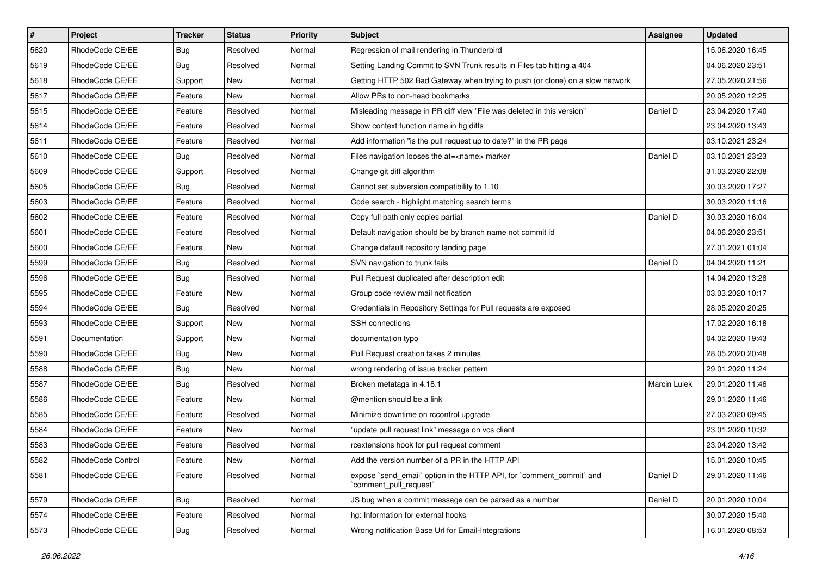| $\vert$ # | Project           | Tracker    | <b>Status</b> | <b>Priority</b> | <b>Subject</b>                                                                                 | <b>Assignee</b> | <b>Updated</b>   |
|-----------|-------------------|------------|---------------|-----------------|------------------------------------------------------------------------------------------------|-----------------|------------------|
| 5620      | RhodeCode CE/EE   | <b>Bug</b> | Resolved      | Normal          | Regression of mail rendering in Thunderbird                                                    |                 | 15.06.2020 16:45 |
| 5619      | RhodeCode CE/EE   | Bug        | Resolved      | Normal          | Setting Landing Commit to SVN Trunk results in Files tab hitting a 404                         |                 | 04.06.2020 23:51 |
| 5618      | RhodeCode CE/EE   | Support    | New           | Normal          | Getting HTTP 502 Bad Gateway when trying to push (or clone) on a slow network                  |                 | 27.05.2020 21:56 |
| 5617      | RhodeCode CE/EE   | Feature    | New           | Normal          | Allow PRs to non-head bookmarks                                                                |                 | 20.05.2020 12:25 |
| 5615      | RhodeCode CE/EE   | Feature    | Resolved      | Normal          | Misleading message in PR diff view "File was deleted in this version"                          | Daniel D        | 23.04.2020 17:40 |
| 5614      | RhodeCode CE/EE   | Feature    | Resolved      | Normal          | Show context function name in hg diffs                                                         |                 | 23.04.2020 13:43 |
| 5611      | RhodeCode CE/EE   | Feature    | Resolved      | Normal          | Add information "is the pull request up to date?" in the PR page                               |                 | 03.10.2021 23:24 |
| 5610      | RhodeCode CE/EE   | Bug        | Resolved      | Normal          | Files navigation looses the at= <name> marker</name>                                           | Daniel D        | 03.10.2021 23:23 |
| 5609      | RhodeCode CE/EE   | Support    | Resolved      | Normal          | Change git diff algorithm                                                                      |                 | 31.03.2020 22:08 |
| 5605      | RhodeCode CE/EE   | <b>Bug</b> | Resolved      | Normal          | Cannot set subversion compatibility to 1.10                                                    |                 | 30.03.2020 17:27 |
| 5603      | RhodeCode CE/EE   | Feature    | Resolved      | Normal          | Code search - highlight matching search terms                                                  |                 | 30.03.2020 11:16 |
| 5602      | RhodeCode CE/EE   | Feature    | Resolved      | Normal          | Copy full path only copies partial                                                             | Daniel D        | 30.03.2020 16:04 |
| 5601      | RhodeCode CE/EE   | Feature    | Resolved      | Normal          | Default navigation should be by branch name not commit id                                      |                 | 04.06.2020 23:51 |
| 5600      | RhodeCode CE/EE   | Feature    | New           | Normal          | Change default repository landing page                                                         |                 | 27.01.2021 01:04 |
| 5599      | RhodeCode CE/EE   | <b>Bug</b> | Resolved      | Normal          | SVN navigation to trunk fails                                                                  | Daniel D        | 04.04.2020 11:21 |
| 5596      | RhodeCode CE/EE   | Bug        | Resolved      | Normal          | Pull Request duplicated after description edit                                                 |                 | 14.04.2020 13:28 |
| 5595      | RhodeCode CE/EE   | Feature    | New           | Normal          | Group code review mail notification                                                            |                 | 03.03.2020 10:17 |
| 5594      | RhodeCode CE/EE   | <b>Bug</b> | Resolved      | Normal          | Credentials in Repository Settings for Pull requests are exposed                               |                 | 28.05.2020 20:25 |
| 5593      | RhodeCode CE/EE   | Support    | New           | Normal          | <b>SSH</b> connections                                                                         |                 | 17.02.2020 16:18 |
| 5591      | Documentation     | Support    | New           | Normal          | documentation typo                                                                             |                 | 04.02.2020 19:43 |
| 5590      | RhodeCode CE/EE   | <b>Bug</b> | New           | Normal          | Pull Request creation takes 2 minutes                                                          |                 | 28.05.2020 20:48 |
| 5588      | RhodeCode CE/EE   | <b>Bug</b> | New           | Normal          | wrong rendering of issue tracker pattern                                                       |                 | 29.01.2020 11:24 |
| 5587      | RhodeCode CE/EE   | Bug        | Resolved      | Normal          | Broken metatags in 4.18.1                                                                      | Marcin Lulek    | 29.01.2020 11:46 |
| 5586      | RhodeCode CE/EE   | Feature    | <b>New</b>    | Normal          | @mention should be a link                                                                      |                 | 29.01.2020 11:46 |
| 5585      | RhodeCode CE/EE   | Feature    | Resolved      | Normal          | Minimize downtime on rccontrol upgrade                                                         |                 | 27.03.2020 09:45 |
| 5584      | RhodeCode CE/EE   | Feature    | New           | Normal          | "update pull request link" message on vcs client                                               |                 | 23.01.2020 10:32 |
| 5583      | RhodeCode CE/EE   | Feature    | Resolved      | Normal          | rcextensions hook for pull request comment                                                     |                 | 23.04.2020 13:42 |
| 5582      | RhodeCode Control | Feature    | New           | Normal          | Add the version number of a PR in the HTTP API                                                 |                 | 15.01.2020 10:45 |
| 5581      | RhodeCode CE/EE   | Feature    | Resolved      | Normal          | expose `send_email` option in the HTTP API, for `comment_commit` and<br>`comment_pull_request` | Daniel D        | 29.01.2020 11:46 |
| 5579      | RhodeCode CE/EE   | Bug        | Resolved      | Normal          | JS bug when a commit message can be parsed as a number                                         | Daniel D        | 20.01.2020 10:04 |
| 5574      | RhodeCode CE/EE   | Feature    | Resolved      | Normal          | ha: Information for external hooks                                                             |                 | 30.07.2020 15:40 |
| 5573      | RhodeCode CE/EE   | Bug        | Resolved      | Normal          | Wrong notification Base Url for Email-Integrations                                             |                 | 16.01.2020 08:53 |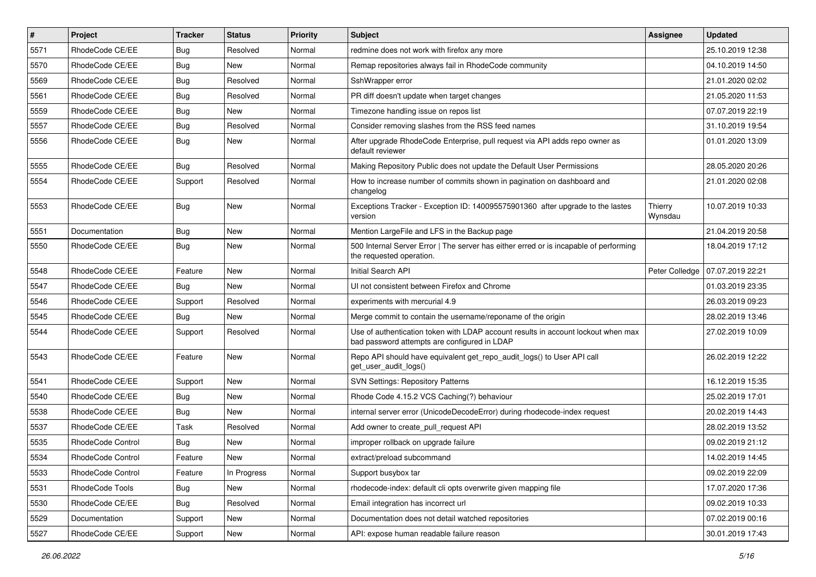| $\sharp$ | Project           | <b>Tracker</b> | <b>Status</b> | <b>Priority</b> | <b>Subject</b>                                                                                                                    | Assignee           | <b>Updated</b>   |
|----------|-------------------|----------------|---------------|-----------------|-----------------------------------------------------------------------------------------------------------------------------------|--------------------|------------------|
| 5571     | RhodeCode CE/EE   | <b>Bug</b>     | Resolved      | Normal          | redmine does not work with firefox any more                                                                                       |                    | 25.10.2019 12:38 |
| 5570     | RhodeCode CE/EE   | <b>Bug</b>     | New           | Normal          | Remap repositories always fail in RhodeCode community                                                                             |                    | 04.10.2019 14:50 |
| 5569     | RhodeCode CE/EE   | <b>Bug</b>     | Resolved      | Normal          | SshWrapper error                                                                                                                  |                    | 21.01.2020 02:02 |
| 5561     | RhodeCode CE/EE   | <b>Bug</b>     | Resolved      | Normal          | PR diff doesn't update when target changes                                                                                        |                    | 21.05.2020 11:53 |
| 5559     | RhodeCode CE/EE   | <b>Bug</b>     | <b>New</b>    | Normal          | Timezone handling issue on repos list                                                                                             |                    | 07.07.2019 22:19 |
| 5557     | RhodeCode CE/EE   | <b>Bug</b>     | Resolved      | Normal          | Consider removing slashes from the RSS feed names                                                                                 |                    | 31.10.2019 19:54 |
| 5556     | RhodeCode CE/EE   | <b>Bug</b>     | New           | Normal          | After upgrade RhodeCode Enterprise, pull request via API adds repo owner as<br>default reviewer                                   |                    | 01.01.2020 13:09 |
| 5555     | RhodeCode CE/EE   | Bug            | Resolved      | Normal          | Making Repository Public does not update the Default User Permissions                                                             |                    | 28.05.2020 20:26 |
| 5554     | RhodeCode CE/EE   | Support        | Resolved      | Normal          | How to increase number of commits shown in pagination on dashboard and<br>changelog                                               |                    | 21.01.2020 02:08 |
| 5553     | RhodeCode CE/EE   | Bug            | New           | Normal          | Exceptions Tracker - Exception ID: 140095575901360 after upgrade to the lastes<br>version                                         | Thierry<br>Wynsdau | 10.07.2019 10:33 |
| 5551     | Documentation     | Bug            | New           | Normal          | Mention LargeFile and LFS in the Backup page                                                                                      |                    | 21.04.2019 20:58 |
| 5550     | RhodeCode CE/EE   | Bug            | New           | Normal          | 500 Internal Server Error   The server has either erred or is incapable of performing<br>the requested operation.                 |                    | 18.04.2019 17:12 |
| 5548     | RhodeCode CE/EE   | Feature        | <b>New</b>    | Normal          | Initial Search API                                                                                                                | Peter Colledge     | 07.07.2019 22:21 |
| 5547     | RhodeCode CE/EE   | Bug            | <b>New</b>    | Normal          | UI not consistent between Firefox and Chrome                                                                                      |                    | 01.03.2019 23:35 |
| 5546     | RhodeCode CE/EE   | Support        | Resolved      | Normal          | experiments with mercurial 4.9                                                                                                    |                    | 26.03.2019 09:23 |
| 5545     | RhodeCode CE/EE   | <b>Bug</b>     | New           | Normal          | Merge commit to contain the username/reponame of the origin                                                                       |                    | 28.02.2019 13:46 |
| 5544     | RhodeCode CE/EE   | Support        | Resolved      | Normal          | Use of authentication token with LDAP account results in account lockout when max<br>bad password attempts are configured in LDAP |                    | 27.02.2019 10:09 |
| 5543     | RhodeCode CE/EE   | Feature        | New           | Normal          | Repo API should have equivalent get_repo_audit_logs() to User API call<br>get_user_audit_logs()                                   |                    | 26.02.2019 12:22 |
| 5541     | RhodeCode CE/EE   | Support        | New           | Normal          | <b>SVN Settings: Repository Patterns</b>                                                                                          |                    | 16.12.2019 15:35 |
| 5540     | RhodeCode CE/EE   | Bug            | New           | Normal          | Rhode Code 4.15.2 VCS Caching(?) behaviour                                                                                        |                    | 25.02.2019 17:01 |
| 5538     | RhodeCode CE/EE   | Bug            | New           | Normal          | internal server error (UnicodeDecodeError) during rhodecode-index request                                                         |                    | 20.02.2019 14:43 |
| 5537     | RhodeCode CE/EE   | Task           | Resolved      | Normal          | Add owner to create pull request API                                                                                              |                    | 28.02.2019 13:52 |
| 5535     | RhodeCode Control | <b>Bug</b>     | <b>New</b>    | Normal          | improper rollback on upgrade failure                                                                                              |                    | 09.02.2019 21:12 |
| 5534     | RhodeCode Control | Feature        | New           | Normal          | extract/preload subcommand                                                                                                        |                    | 14.02.2019 14:45 |
| 5533     | RhodeCode Control | Feature        | In Progress   | Normal          | Support busybox tar                                                                                                               |                    | 09.02.2019 22:09 |
| 5531     | RhodeCode Tools   | <b>Bug</b>     | New           | Normal          | rhodecode-index: default cli opts overwrite given mapping file                                                                    |                    | 17.07.2020 17:36 |
| 5530     | RhodeCode CE/EE   | Bug            | Resolved      | Normal          | Email integration has incorrect url                                                                                               |                    | 09.02.2019 10:33 |
| 5529     | Documentation     | Support        | <b>New</b>    | Normal          | Documentation does not detail watched repositories                                                                                |                    | 07.02.2019 00:16 |
| 5527     | RhodeCode CE/EE   | Support        | New           | Normal          | API: expose human readable failure reason                                                                                         |                    | 30.01.2019 17:43 |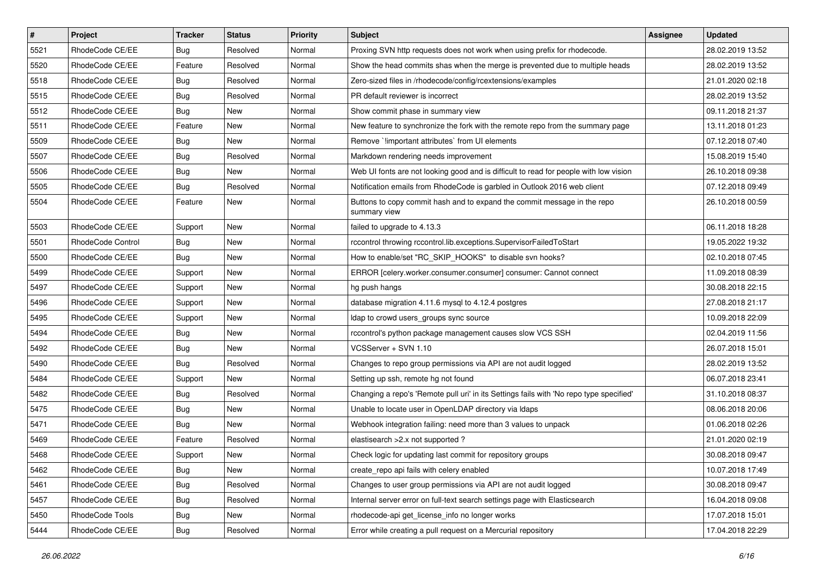| $\pmb{\#}$ | Project           | <b>Tracker</b> | <b>Status</b> | <b>Priority</b> | Subject                                                                                  | <b>Assignee</b> | <b>Updated</b>   |
|------------|-------------------|----------------|---------------|-----------------|------------------------------------------------------------------------------------------|-----------------|------------------|
| 5521       | RhodeCode CE/EE   | <b>Bug</b>     | Resolved      | Normal          | Proxing SVN http requests does not work when using prefix for rhodecode.                 |                 | 28.02.2019 13:52 |
| 5520       | RhodeCode CE/EE   | Feature        | Resolved      | Normal          | Show the head commits shas when the merge is prevented due to multiple heads             |                 | 28.02.2019 13:52 |
| 5518       | RhodeCode CE/EE   | <b>Bug</b>     | Resolved      | Normal          | Zero-sized files in /rhodecode/config/rcextensions/examples                              |                 | 21.01.2020 02:18 |
| 5515       | RhodeCode CE/EE   | <b>Bug</b>     | Resolved      | Normal          | PR default reviewer is incorrect                                                         |                 | 28.02.2019 13:52 |
| 5512       | RhodeCode CE/EE   | <b>Bug</b>     | New           | Normal          | Show commit phase in summary view                                                        |                 | 09.11.2018 21:37 |
| 5511       | RhodeCode CE/EE   | Feature        | New           | Normal          | New feature to synchronize the fork with the remote repo from the summary page           |                 | 13.11.2018 01:23 |
| 5509       | RhodeCode CE/EE   | <b>Bug</b>     | New           | Normal          | Remove `!important attributes` from UI elements                                          |                 | 07.12.2018 07:40 |
| 5507       | RhodeCode CE/EE   | <b>Bug</b>     | Resolved      | Normal          | Markdown rendering needs improvement                                                     |                 | 15.08.2019 15:40 |
| 5506       | RhodeCode CE/EE   | <b>Bug</b>     | New           | Normal          | Web UI fonts are not looking good and is difficult to read for people with low vision    |                 | 26.10.2018 09:38 |
| 5505       | RhodeCode CE/EE   | <b>Bug</b>     | Resolved      | Normal          | Notification emails from RhodeCode is garbled in Outlook 2016 web client                 |                 | 07.12.2018 09:49 |
| 5504       | RhodeCode CE/EE   | Feature        | New           | Normal          | Buttons to copy commit hash and to expand the commit message in the repo<br>summary view |                 | 26.10.2018 00:59 |
| 5503       | RhodeCode CE/EE   | Support        | New           | Normal          | failed to upgrade to 4.13.3                                                              |                 | 06.11.2018 18:28 |
| 5501       | RhodeCode Control | Bug            | New           | Normal          | rccontrol throwing rccontrol.lib.exceptions.SupervisorFailedToStart                      |                 | 19.05.2022 19:32 |
| 5500       | RhodeCode CE/EE   | Bug            | New           | Normal          | How to enable/set "RC_SKIP_HOOKS" to disable svn hooks?                                  |                 | 02.10.2018 07:45 |
| 5499       | RhodeCode CE/EE   | Support        | New           | Normal          | ERROR [celery.worker.consumer.consumer] consumer: Cannot connect                         |                 | 11.09.2018 08:39 |
| 5497       | RhodeCode CE/EE   | Support        | New           | Normal          | hg push hangs                                                                            |                 | 30.08.2018 22:15 |
| 5496       | RhodeCode CE/EE   | Support        | New           | Normal          | database migration 4.11.6 mysql to 4.12.4 postgres                                       |                 | 27.08.2018 21:17 |
| 5495       | RhodeCode CE/EE   | Support        | New           | Normal          | Idap to crowd users_groups sync source                                                   |                 | 10.09.2018 22:09 |
| 5494       | RhodeCode CE/EE   | <b>Bug</b>     | New           | Normal          | rccontrol's python package management causes slow VCS SSH                                |                 | 02.04.2019 11:56 |
| 5492       | RhodeCode CE/EE   | <b>Bug</b>     | <b>New</b>    | Normal          | VCSServer + SVN 1.10                                                                     |                 | 26.07.2018 15:01 |
| 5490       | RhodeCode CE/EE   | <b>Bug</b>     | Resolved      | Normal          | Changes to repo group permissions via API are not audit logged                           |                 | 28.02.2019 13:52 |
| 5484       | RhodeCode CE/EE   | Support        | <b>New</b>    | Normal          | Setting up ssh, remote hg not found                                                      |                 | 06.07.2018 23:41 |
| 5482       | RhodeCode CE/EE   | Bug            | Resolved      | Normal          | Changing a repo's 'Remote pull uri' in its Settings fails with 'No repo type specified'  |                 | 31.10.2018 08:37 |
| 5475       | RhodeCode CE/EE   | <b>Bug</b>     | New           | Normal          | Unable to locate user in OpenLDAP directory via Idaps                                    |                 | 08.06.2018 20:06 |
| 5471       | RhodeCode CE/EE   | <b>Bug</b>     | New           | Normal          | Webhook integration failing: need more than 3 values to unpack                           |                 | 01.06.2018 02:26 |
| 5469       | RhodeCode CE/EE   | Feature        | Resolved      | Normal          | elastisearch > 2.x not supported ?                                                       |                 | 21.01.2020 02:19 |
| 5468       | RhodeCode CE/EE   | Support        | New           | Normal          | Check logic for updating last commit for repository groups                               |                 | 30.08.2018 09:47 |
| 5462       | RhodeCode CE/EE   | <b>Bug</b>     | New           | Normal          | create repo api fails with celery enabled                                                |                 | 10.07.2018 17:49 |
| 5461       | RhodeCode CE/EE   | Bug            | Resolved      | Normal          | Changes to user group permissions via API are not audit logged                           |                 | 30.08.2018 09:47 |
| 5457       | RhodeCode CE/EE   | <b>Bug</b>     | Resolved      | Normal          | Internal server error on full-text search settings page with Elasticsearch               |                 | 16.04.2018 09:08 |
| 5450       | RhodeCode Tools   | Bug            | New           | Normal          | rhodecode-api get license info no longer works                                           |                 | 17.07.2018 15:01 |
| 5444       | RhodeCode CE/EE   | Bug            | Resolved      | Normal          | Error while creating a pull request on a Mercurial repository                            |                 | 17.04.2018 22:29 |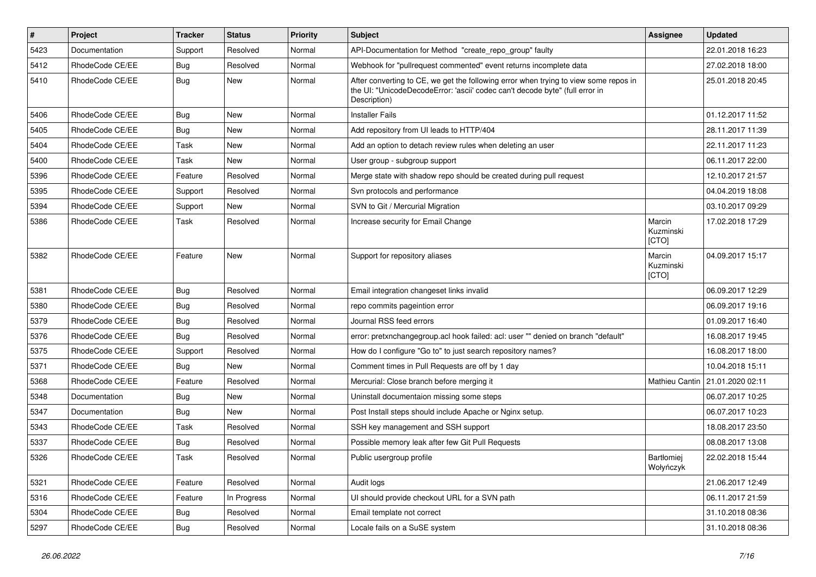| $\pmb{\#}$ | <b>Project</b>  | <b>Tracker</b> | <b>Status</b> | <b>Priority</b> | Subject                                                                                                                                                                              | Assignee                       | <b>Updated</b>                    |
|------------|-----------------|----------------|---------------|-----------------|--------------------------------------------------------------------------------------------------------------------------------------------------------------------------------------|--------------------------------|-----------------------------------|
| 5423       | Documentation   | Support        | Resolved      | Normal          | API-Documentation for Method "create_repo_group" faulty                                                                                                                              |                                | 22.01.2018 16:23                  |
| 5412       | RhodeCode CE/EE | Bug            | Resolved      | Normal          | Webhook for "pullrequest commented" event returns incomplete data                                                                                                                    |                                | 27.02.2018 18:00                  |
| 5410       | RhodeCode CE/EE | Bug            | <b>New</b>    | Normal          | After converting to CE, we get the following error when trying to view some repos in<br>the UI: "UnicodeDecodeError: 'ascii' codec can't decode byte" (full error in<br>Description) |                                | 25.01.2018 20:45                  |
| 5406       | RhodeCode CE/EE | Bug            | New           | Normal          | <b>Installer Fails</b>                                                                                                                                                               |                                | 01.12.2017 11:52                  |
| 5405       | RhodeCode CE/EE | Bug            | New           | Normal          | Add repository from UI leads to HTTP/404                                                                                                                                             |                                | 28.11.2017 11:39                  |
| 5404       | RhodeCode CE/EE | Task           | New           | Normal          | Add an option to detach review rules when deleting an user                                                                                                                           |                                | 22.11.2017 11:23                  |
| 5400       | RhodeCode CE/EE | Task           | <b>New</b>    | Normal          | User group - subgroup support                                                                                                                                                        |                                | 06.11.2017 22:00                  |
| 5396       | RhodeCode CE/EE | Feature        | Resolved      | Normal          | Merge state with shadow repo should be created during pull request                                                                                                                   |                                | 12.10.2017 21:57                  |
| 5395       | RhodeCode CE/EE | Support        | Resolved      | Normal          | Svn protocols and performance                                                                                                                                                        |                                | 04.04.2019 18:08                  |
| 5394       | RhodeCode CE/EE | Support        | New           | Normal          | SVN to Git / Mercurial Migration                                                                                                                                                     |                                | 03.10.2017 09:29                  |
| 5386       | RhodeCode CE/EE | Task           | Resolved      | Normal          | Increase security for Email Change                                                                                                                                                   | Marcin<br>Kuzminski<br>[CTO]   | 17.02.2018 17:29                  |
| 5382       | RhodeCode CE/EE | Feature        | <b>New</b>    | Normal          | Support for repository aliases                                                                                                                                                       | Marcin<br>Kuzminski<br>[CTO]   | 04.09.2017 15:17                  |
| 5381       | RhodeCode CE/EE | Bug            | Resolved      | Normal          | Email integration changeset links invalid                                                                                                                                            |                                | 06.09.2017 12:29                  |
| 5380       | RhodeCode CE/EE | Bug            | Resolved      | Normal          | repo commits pageintion error                                                                                                                                                        |                                | 06.09.2017 19:16                  |
| 5379       | RhodeCode CE/EE | Bug            | Resolved      | Normal          | Journal RSS feed errors                                                                                                                                                              |                                | 01.09.2017 16:40                  |
| 5376       | RhodeCode CE/EE | Bug            | Resolved      | Normal          | error: pretxnchangegroup.acl hook failed: acl: user "" denied on branch "default"                                                                                                    |                                | 16.08.2017 19:45                  |
| 5375       | RhodeCode CE/EE | Support        | Resolved      | Normal          | How do I configure "Go to" to just search repository names?                                                                                                                          |                                | 16.08.2017 18:00                  |
| 5371       | RhodeCode CE/EE | <b>Bug</b>     | <b>New</b>    | Normal          | Comment times in Pull Requests are off by 1 day                                                                                                                                      |                                | 10.04.2018 15:11                  |
| 5368       | RhodeCode CE/EE | Feature        | Resolved      | Normal          | Mercurial: Close branch before merging it                                                                                                                                            |                                | Mathieu Cantin   21.01.2020 02:11 |
| 5348       | Documentation   | Bug            | <b>New</b>    | Normal          | Uninstall documentaion missing some steps                                                                                                                                            |                                | 06.07.2017 10:25                  |
| 5347       | Documentation   | Bug            | New           | Normal          | Post Install steps should include Apache or Nginx setup.                                                                                                                             |                                | 06.07.2017 10:23                  |
| 5343       | RhodeCode CE/EE | Task           | Resolved      | Normal          | SSH key management and SSH support                                                                                                                                                   |                                | 18.08.2017 23:50                  |
| 5337       | RhodeCode CE/EE | Bug            | Resolved      | Normal          | Possible memory leak after few Git Pull Requests                                                                                                                                     |                                | 08.08.2017 13:08                  |
| 5326       | RhodeCode CE/EE | Task           | Resolved      | Normal          | Public usergroup profile                                                                                                                                                             | <b>Bartłomiei</b><br>Wołyńczyk | 22.02.2018 15:44                  |
| 5321       | RhodeCode CE/EE | Feature        | Resolved      | Normal          | Audit logs                                                                                                                                                                           |                                | 21.06.2017 12:49                  |
| 5316       | RhodeCode CE/EE | Feature        | In Progress   | Normal          | UI should provide checkout URL for a SVN path                                                                                                                                        |                                | 06.11.2017 21:59                  |
| 5304       | RhodeCode CE/EE | <b>Bug</b>     | Resolved      | Normal          | Email template not correct                                                                                                                                                           |                                | 31.10.2018 08:36                  |
| 5297       | RhodeCode CE/EE | Bug            | Resolved      | Normal          | Locale fails on a SuSE system                                                                                                                                                        |                                | 31.10.2018 08:36                  |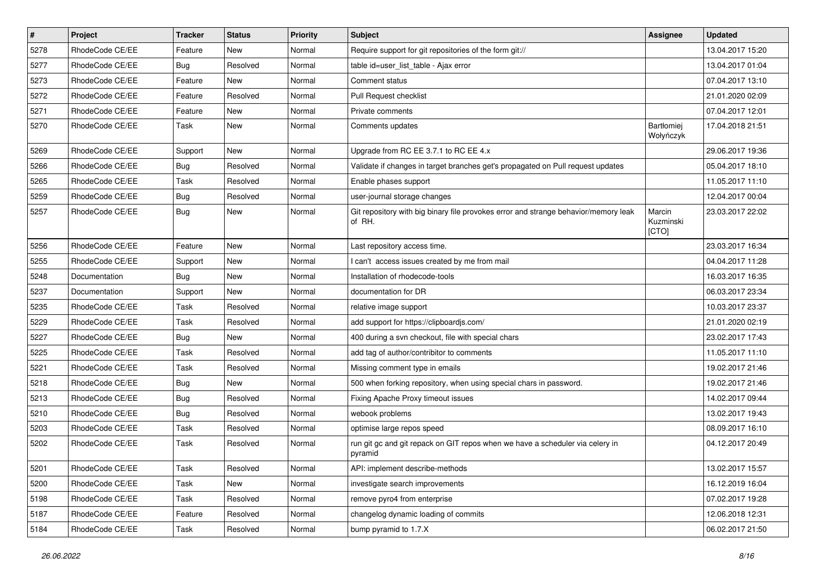| $\pmb{\#}$ | Project         | <b>Tracker</b> | <b>Status</b> | <b>Priority</b> | Subject                                                                                       | <b>Assignee</b>              | <b>Updated</b>   |
|------------|-----------------|----------------|---------------|-----------------|-----------------------------------------------------------------------------------------------|------------------------------|------------------|
| 5278       | RhodeCode CE/EE | Feature        | New           | Normal          | Require support for git repositories of the form git://                                       |                              | 13.04.2017 15:20 |
| 5277       | RhodeCode CE/EE | Bug            | Resolved      | Normal          | table id=user_list_table - Ajax error                                                         |                              | 13.04.2017 01:04 |
| 5273       | RhodeCode CE/EE | Feature        | <b>New</b>    | Normal          | Comment status                                                                                |                              | 07.04.2017 13:10 |
| 5272       | RhodeCode CE/EE | Feature        | Resolved      | Normal          | Pull Request checklist                                                                        |                              | 21.01.2020 02:09 |
| 5271       | RhodeCode CE/EE | Feature        | <b>New</b>    | Normal          | Private comments                                                                              |                              | 07.04.2017 12:01 |
| 5270       | RhodeCode CE/EE | Task           | New           | Normal          | Comments updates                                                                              | Bartłomiej<br>Wołyńczyk      | 17.04.2018 21:51 |
| 5269       | RhodeCode CE/EE | Support        | <b>New</b>    | Normal          | Upgrade from RC EE 3.7.1 to RC EE 4.x                                                         |                              | 29.06.2017 19:36 |
| 5266       | RhodeCode CE/EE | Bug            | Resolved      | Normal          | Validate if changes in target branches get's propagated on Pull request updates               |                              | 05.04.2017 18:10 |
| 5265       | RhodeCode CE/EE | Task           | Resolved      | Normal          | Enable phases support                                                                         |                              | 11.05.2017 11:10 |
| 5259       | RhodeCode CE/EE | Bug            | Resolved      | Normal          | user-journal storage changes                                                                  |                              | 12.04.2017 00:04 |
| 5257       | RhodeCode CE/EE | Bug            | New           | Normal          | Git repository with big binary file provokes error and strange behavior/memory leak<br>of RH. | Marcin<br>Kuzminski<br>[CTO] | 23.03.2017 22:02 |
| 5256       | RhodeCode CE/EE | Feature        | <b>New</b>    | Normal          | Last repository access time.                                                                  |                              | 23.03.2017 16:34 |
| 5255       | RhodeCode CE/EE | Support        | New           | Normal          | I can't access issues created by me from mail                                                 |                              | 04.04.2017 11:28 |
| 5248       | Documentation   | Bug            | <b>New</b>    | Normal          | Installation of rhodecode-tools                                                               |                              | 16.03.2017 16:35 |
| 5237       | Documentation   | Support        | <b>New</b>    | Normal          | documentation for DR                                                                          |                              | 06.03.2017 23:34 |
| 5235       | RhodeCode CE/EE | Task           | Resolved      | Normal          | relative image support                                                                        |                              | 10.03.2017 23:37 |
| 5229       | RhodeCode CE/EE | Task           | Resolved      | Normal          | add support for https://clipboardjs.com/                                                      |                              | 21.01.2020 02:19 |
| 5227       | RhodeCode CE/EE | Bug            | New           | Normal          | 400 during a svn checkout, file with special chars                                            |                              | 23.02.2017 17:43 |
| 5225       | RhodeCode CE/EE | Task           | Resolved      | Normal          | add tag of author/contribitor to comments                                                     |                              | 11.05.2017 11:10 |
| 5221       | RhodeCode CE/EE | Task           | Resolved      | Normal          | Missing comment type in emails                                                                |                              | 19.02.2017 21:46 |
| 5218       | RhodeCode CE/EE | Bug            | New           | Normal          | 500 when forking repository, when using special chars in password.                            |                              | 19.02.2017 21:46 |
| 5213       | RhodeCode CE/EE | Bug            | Resolved      | Normal          | Fixing Apache Proxy timeout issues                                                            |                              | 14.02.2017 09:44 |
| 5210       | RhodeCode CE/EE | Bug            | Resolved      | Normal          | webook problems                                                                               |                              | 13.02.2017 19:43 |
| 5203       | RhodeCode CE/EE | Task           | Resolved      | Normal          | optimise large repos speed                                                                    |                              | 08.09.2017 16:10 |
| 5202       | RhodeCode CE/EE | Task           | Resolved      | Normal          | run git gc and git repack on GIT repos when we have a scheduler via celery in<br>pyramid      |                              | 04.12.2017 20:49 |
| 5201       | RhodeCode CE/EE | Task           | Resolved      | Normal          | API: implement describe-methods                                                               |                              | 13.02.2017 15:57 |
| 5200       | RhodeCode CE/EE | Task           | New           | Normal          | investigate search improvements                                                               |                              | 16.12.2019 16:04 |
| 5198       | RhodeCode CE/EE | Task           | Resolved      | Normal          | remove pyro4 from enterprise                                                                  |                              | 07.02.2017 19:28 |
| 5187       | RhodeCode CE/EE | Feature        | Resolved      | Normal          | changelog dynamic loading of commits                                                          |                              | 12.06.2018 12:31 |
| 5184       | RhodeCode CE/EE | Task           | Resolved      | Normal          | bump pyramid to 1.7.X                                                                         |                              | 06.02.2017 21:50 |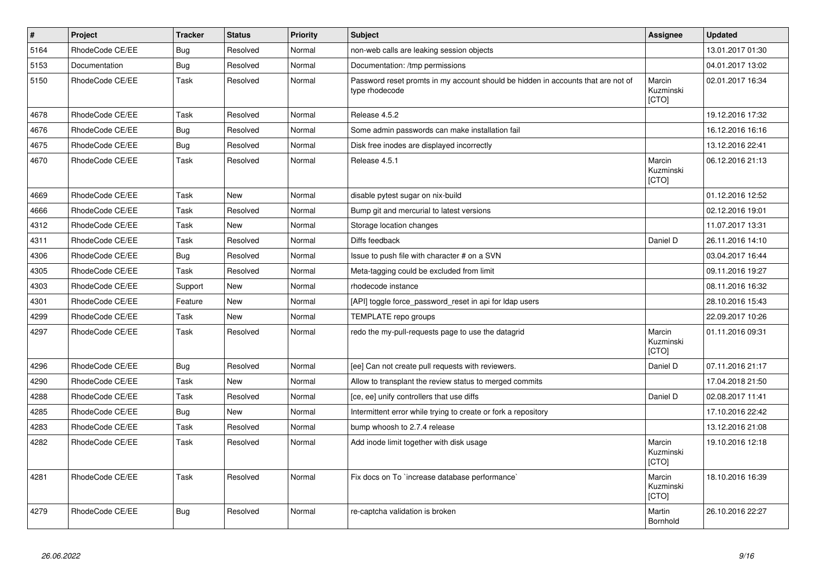| $\sharp$ | Project         | <b>Tracker</b> | <b>Status</b> | <b>Priority</b> | <b>Subject</b>                                                                                     | Assignee                     | <b>Updated</b>   |
|----------|-----------------|----------------|---------------|-----------------|----------------------------------------------------------------------------------------------------|------------------------------|------------------|
| 5164     | RhodeCode CE/EE | Bug            | Resolved      | Normal          | non-web calls are leaking session objects                                                          |                              | 13.01.2017 01:30 |
| 5153     | Documentation   | Bug            | Resolved      | Normal          | Documentation: /tmp permissions                                                                    |                              | 04.01.2017 13:02 |
| 5150     | RhodeCode CE/EE | Task           | Resolved      | Normal          | Password reset promts in my account should be hidden in accounts that are not of<br>type rhodecode | Marcin<br>Kuzminski<br>[CTO] | 02.01.2017 16:34 |
| 4678     | RhodeCode CE/EE | Task           | Resolved      | Normal          | Release 4.5.2                                                                                      |                              | 19.12.2016 17:32 |
| 4676     | RhodeCode CE/EE | Bug            | Resolved      | Normal          | Some admin passwords can make installation fail                                                    |                              | 16.12.2016 16:16 |
| 4675     | RhodeCode CE/EE | <b>Bug</b>     | Resolved      | Normal          | Disk free inodes are displayed incorrectly                                                         |                              | 13.12.2016 22:41 |
| 4670     | RhodeCode CE/EE | Task           | Resolved      | Normal          | Release 4.5.1                                                                                      | Marcin<br>Kuzminski<br>[CTO] | 06.12.2016 21:13 |
| 4669     | RhodeCode CE/EE | Task           | <b>New</b>    | Normal          | disable pytest sugar on nix-build                                                                  |                              | 01.12.2016 12:52 |
| 4666     | RhodeCode CE/EE | Task           | Resolved      | Normal          | Bump git and mercurial to latest versions                                                          |                              | 02.12.2016 19:01 |
| 4312     | RhodeCode CE/EE | Task           | New           | Normal          | Storage location changes                                                                           |                              | 11.07.2017 13:31 |
| 4311     | RhodeCode CE/EE | Task           | Resolved      | Normal          | Diffs feedback                                                                                     | Daniel D                     | 26.11.2016 14:10 |
| 4306     | RhodeCode CE/EE | Bug            | Resolved      | Normal          | Issue to push file with character # on a SVN                                                       |                              | 03.04.2017 16:44 |
| 4305     | RhodeCode CE/EE | Task           | Resolved      | Normal          | Meta-tagging could be excluded from limit                                                          |                              | 09.11.2016 19:27 |
| 4303     | RhodeCode CE/EE | Support        | <b>New</b>    | Normal          | rhodecode instance                                                                                 |                              | 08.11.2016 16:32 |
| 4301     | RhodeCode CE/EE | Feature        | New           | Normal          | [API] toggle force_password_reset in api for Idap users                                            |                              | 28.10.2016 15:43 |
| 4299     | RhodeCode CE/EE | Task           | New           | Normal          | TEMPLATE repo groups                                                                               |                              | 22.09.2017 10:26 |
| 4297     | RhodeCode CE/EE | Task           | Resolved      | Normal          | redo the my-pull-requests page to use the datagrid                                                 | Marcin<br>Kuzminski<br>[CTO] | 01.11.2016 09:31 |
| 4296     | RhodeCode CE/EE | <b>Bug</b>     | Resolved      | Normal          | [ee] Can not create pull requests with reviewers.                                                  | Daniel D                     | 07.11.2016 21:17 |
| 4290     | RhodeCode CE/EE | Task           | <b>New</b>    | Normal          | Allow to transplant the review status to merged commits                                            |                              | 17.04.2018 21:50 |
| 4288     | RhodeCode CE/EE | Task           | Resolved      | Normal          | [ce, ee] unify controllers that use diffs                                                          | Daniel D                     | 02.08.2017 11:41 |
| 4285     | RhodeCode CE/EE | Bug            | <b>New</b>    | Normal          | Intermittent error while trying to create or fork a repository                                     |                              | 17.10.2016 22:42 |
| 4283     | RhodeCode CE/EE | Task           | Resolved      | Normal          | bump whoosh to 2.7.4 release                                                                       |                              | 13.12.2016 21:08 |
| 4282     | RhodeCode CE/EE | Task           | Resolved      | Normal          | Add inode limit together with disk usage                                                           | Marcin<br>Kuzminski<br>[CTO] | 19.10.2016 12:18 |
| 4281     | RhodeCode CE/EE | Task           | Resolved      | Normal          | Fix docs on To `increase database performance`                                                     | Marcin<br>Kuzminski<br>[CTO] | 18.10.2016 16:39 |
| 4279     | RhodeCode CE/EE | Bug            | Resolved      | Normal          | re-captcha validation is broken                                                                    | Martin<br>Bornhold           | 26.10.2016 22:27 |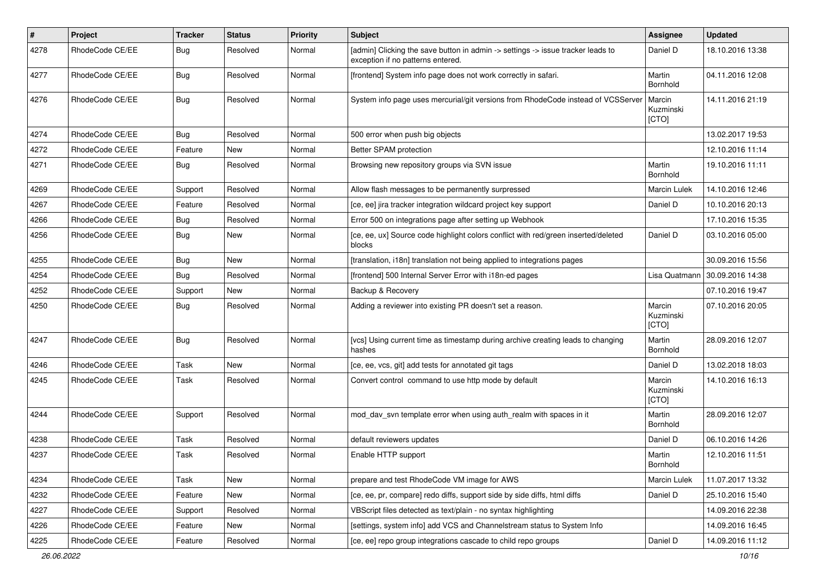| $\pmb{\#}$ | Project         | <b>Tracker</b> | <b>Status</b> | <b>Priority</b> | <b>Subject</b>                                                                                                       | <b>Assignee</b>              | <b>Updated</b>   |
|------------|-----------------|----------------|---------------|-----------------|----------------------------------------------------------------------------------------------------------------------|------------------------------|------------------|
| 4278       | RhodeCode CE/EE | Bug            | Resolved      | Normal          | [admin] Clicking the save button in admin -> settings -> issue tracker leads to<br>exception if no patterns entered. | Daniel D                     | 18.10.2016 13:38 |
| 4277       | RhodeCode CE/EE | Bug            | Resolved      | Normal          | [frontend] System info page does not work correctly in safari.                                                       | Martin<br>Bornhold           | 04.11.2016 12:08 |
| 4276       | RhodeCode CE/EE | Bug            | Resolved      | Normal          | System info page uses mercurial/git versions from RhodeCode instead of VCSServer                                     | Marcin<br>Kuzminski<br>[CTO] | 14.11.2016 21:19 |
| 4274       | RhodeCode CE/EE | Bug            | Resolved      | Normal          | 500 error when push big objects                                                                                      |                              | 13.02.2017 19:53 |
| 4272       | RhodeCode CE/EE | Feature        | New           | Normal          | Better SPAM protection                                                                                               |                              | 12.10.2016 11:14 |
| 4271       | RhodeCode CE/EE | Bug            | Resolved      | Normal          | Browsing new repository groups via SVN issue                                                                         | Martin<br>Bornhold           | 19.10.2016 11:11 |
| 4269       | RhodeCode CE/EE | Support        | Resolved      | Normal          | Allow flash messages to be permanently surpressed                                                                    | <b>Marcin Lulek</b>          | 14.10.2016 12:46 |
| 4267       | RhodeCode CE/EE | Feature        | Resolved      | Normal          | [ce, ee] jira tracker integration wildcard project key support                                                       | Daniel D                     | 10.10.2016 20:13 |
| 4266       | RhodeCode CE/EE | Bug            | Resolved      | Normal          | Error 500 on integrations page after setting up Webhook                                                              |                              | 17.10.2016 15:35 |
| 4256       | RhodeCode CE/EE | Bug            | New           | Normal          | [ce, ee, ux] Source code highlight colors conflict with red/green inserted/deleted<br>blocks                         | Daniel D                     | 03.10.2016 05:00 |
| 4255       | RhodeCode CE/EE | <b>Bug</b>     | <b>New</b>    | Normal          | [translation, i18n] translation not being applied to integrations pages                                              |                              | 30.09.2016 15:56 |
| 4254       | RhodeCode CE/EE | Bug            | Resolved      | Normal          | [frontend] 500 Internal Server Error with i18n-ed pages                                                              | Lisa Quatmann                | 30.09.2016 14:38 |
| 4252       | RhodeCode CE/EE | Support        | New           | Normal          | Backup & Recovery                                                                                                    |                              | 07.10.2016 19:47 |
| 4250       | RhodeCode CE/EE | Bug            | Resolved      | Normal          | Adding a reviewer into existing PR doesn't set a reason.                                                             | Marcin<br>Kuzminski<br>[CTO] | 07.10.2016 20:05 |
| 4247       | RhodeCode CE/EE | Bug            | Resolved      | Normal          | [vcs] Using current time as timestamp during archive creating leads to changing<br>hashes                            | Martin<br>Bornhold           | 28.09.2016 12:07 |
| 4246       | RhodeCode CE/EE | Task           | New           | Normal          | [ce, ee, vcs, git] add tests for annotated git tags                                                                  | Daniel D                     | 13.02.2018 18:03 |
| 4245       | RhodeCode CE/EE | Task           | Resolved      | Normal          | Convert control command to use http mode by default                                                                  | Marcin<br>Kuzminski<br>[CTO] | 14.10.2016 16:13 |
| 4244       | RhodeCode CE/EE | Support        | Resolved      | Normal          | mod day syn template error when using auth realm with spaces in it                                                   | Martin<br>Bornhold           | 28.09.2016 12:07 |
| 4238       | RhodeCode CE/EE | Task           | Resolved      | Normal          | default reviewers updates                                                                                            | Daniel D                     | 06.10.2016 14:26 |
| 4237       | RhodeCode CE/EE | Task           | Resolved      | Normal          | Enable HTTP support                                                                                                  | Martin<br>Bornhold           | 12.10.2016 11:51 |
| 4234       | RhodeCode CE/EE | Task           | New           | Normal          | prepare and test RhodeCode VM image for AWS                                                                          | Marcin Lulek                 | 11.07.2017 13:32 |
| 4232       | RhodeCode CE/EE | Feature        | New           | Normal          | [ce, ee, pr, compare] redo diffs, support side by side diffs, html diffs                                             | Daniel D                     | 25.10.2016 15:40 |
| 4227       | RhodeCode CE/EE | Support        | Resolved      | Normal          | VBScript files detected as text/plain - no syntax highlighting                                                       |                              | 14.09.2016 22:38 |
| 4226       | RhodeCode CE/EE | Feature        | New           | Normal          | [settings, system info] add VCS and Channelstream status to System Info                                              |                              | 14.09.2016 16:45 |
| 4225       | RhodeCode CE/EE | Feature        | Resolved      | Normal          | [ce, ee] repo group integrations cascade to child repo groups                                                        | Daniel D                     | 14.09.2016 11:12 |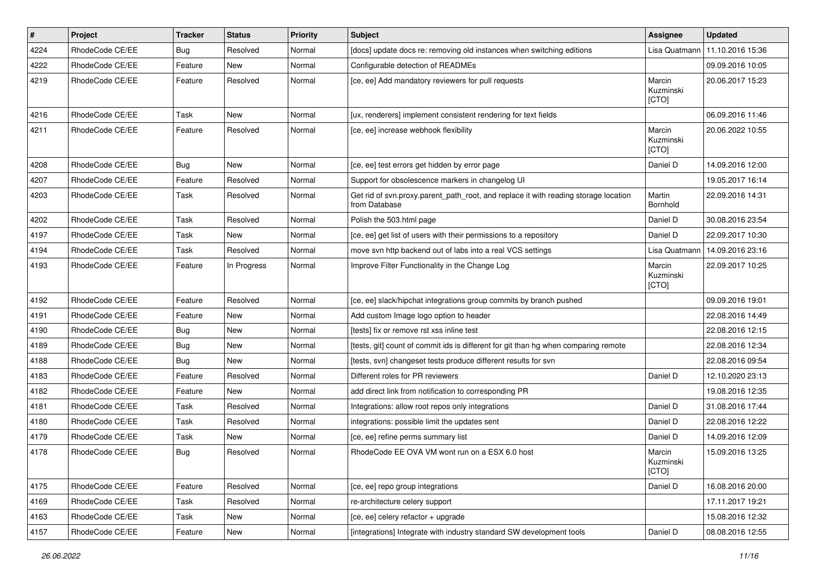| $\vert$ # | Project         | <b>Tracker</b> | <b>Status</b> | <b>Priority</b> | Subject                                                                                              | <b>Assignee</b>              | <b>Updated</b>   |
|-----------|-----------------|----------------|---------------|-----------------|------------------------------------------------------------------------------------------------------|------------------------------|------------------|
| 4224      | RhodeCode CE/EE | Bug            | Resolved      | Normal          | [docs] update docs re: removing old instances when switching editions                                | Lisa Quatmann                | 11.10.2016 15:36 |
| 4222      | RhodeCode CE/EE | Feature        | <b>New</b>    | Normal          | Configurable detection of READMEs                                                                    |                              | 09.09.2016 10:05 |
| 4219      | RhodeCode CE/EE | Feature        | Resolved      | Normal          | [ce, ee] Add mandatory reviewers for pull requests                                                   | Marcin<br>Kuzminski<br>[CTO] | 20.06.2017 15:23 |
| 4216      | RhodeCode CE/EE | Task           | <b>New</b>    | Normal          | [ux, renderers] implement consistent rendering for text fields                                       |                              | 06.09.2016 11:46 |
| 4211      | RhodeCode CE/EE | Feature        | Resolved      | Normal          | [ce, ee] increase webhook flexibility                                                                | Marcin<br>Kuzminski<br>[CTO] | 20.06.2022 10:55 |
| 4208      | RhodeCode CE/EE | Bug            | <b>New</b>    | Normal          | [ce, ee] test errors get hidden by error page                                                        | Daniel D                     | 14.09.2016 12:00 |
| 4207      | RhodeCode CE/EE | Feature        | Resolved      | Normal          | Support for obsolescence markers in changelog UI                                                     |                              | 19.05.2017 16:14 |
| 4203      | RhodeCode CE/EE | Task           | Resolved      | Normal          | Get rid of svn.proxy.parent_path_root, and replace it with reading storage location<br>from Database | Martin<br>Bornhold           | 22.09.2016 14:31 |
| 4202      | RhodeCode CE/EE | Task           | Resolved      | Normal          | Polish the 503.html page                                                                             | Daniel D                     | 30.08.2016 23:54 |
| 4197      | RhodeCode CE/EE | Task           | New           | Normal          | [ce, ee] get list of users with their permissions to a repository                                    | Daniel D                     | 22.09.2017 10:30 |
| 4194      | RhodeCode CE/EE | Task           | Resolved      | Normal          | move svn http backend out of labs into a real VCS settings                                           | Lisa Quatmann                | 14.09.2016 23:16 |
| 4193      | RhodeCode CE/EE | Feature        | In Progress   | Normal          | Improve Filter Functionality in the Change Log                                                       | Marcin<br>Kuzminski<br>[CTO] | 22.09.2017 10:25 |
| 4192      | RhodeCode CE/EE | Feature        | Resolved      | Normal          | [ce, ee] slack/hipchat integrations group commits by branch pushed                                   |                              | 09.09.2016 19:01 |
| 4191      | RhodeCode CE/EE | Feature        | <b>New</b>    | Normal          | Add custom Image logo option to header                                                               |                              | 22.08.2016 14:49 |
| 4190      | RhodeCode CE/EE | <b>Bug</b>     | New           | Normal          | [tests] fix or remove rst xss inline test                                                            |                              | 22.08.2016 12:15 |
| 4189      | RhodeCode CE/EE | Bug            | New           | Normal          | [tests, git] count of commit ids is different for git than hg when comparing remote                  |                              | 22.08.2016 12:34 |
| 4188      | RhodeCode CE/EE | Bug            | <b>New</b>    | Normal          | [tests, svn] changeset tests produce different results for svn                                       |                              | 22.08.2016 09:54 |
| 4183      | RhodeCode CE/EE | Feature        | Resolved      | Normal          | Different roles for PR reviewers                                                                     | Daniel D                     | 12.10.2020 23:13 |
| 4182      | RhodeCode CE/EE | Feature        | <b>New</b>    | Normal          | add direct link from notification to corresponding PR                                                |                              | 19.08.2016 12:35 |
| 4181      | RhodeCode CE/EE | Task           | Resolved      | Normal          | Integrations: allow root repos only integrations                                                     | Daniel D                     | 31.08.2016 17:44 |
| 4180      | RhodeCode CE/EE | Task           | Resolved      | Normal          | integrations: possible limit the updates sent                                                        | Daniel D                     | 22.08.2016 12:22 |
| 4179      | RhodeCode CE/EE | Task           | <b>New</b>    | Normal          | [ce, ee] refine perms summary list                                                                   | Daniel D                     | 14.09.2016 12:09 |
| 4178      | RhodeCode CE/EE | Bug            | Resolved      | Normal          | RhodeCode EE OVA VM wont run on a ESX 6.0 host                                                       | Marcin<br>Kuzminski<br>[CTO] | 15.09.2016 13:25 |
| 4175      | RhodeCode CE/EE | Feature        | Resolved      | Normal          | [ce, ee] repo group integrations                                                                     | Daniel D                     | 16.08.2016 20:00 |
| 4169      | RhodeCode CE/EE | Task           | Resolved      | Normal          | re-architecture celery support                                                                       |                              | 17.11.2017 19:21 |
| 4163      | RhodeCode CE/EE | Task           | New           | Normal          | [ce, ee] celery refactor + upgrade                                                                   |                              | 15.08.2016 12:32 |
| 4157      | RhodeCode CE/EE | Feature        | New           | Normal          | [integrations] Integrate with industry standard SW development tools                                 | Daniel D                     | 08.08.2016 12:55 |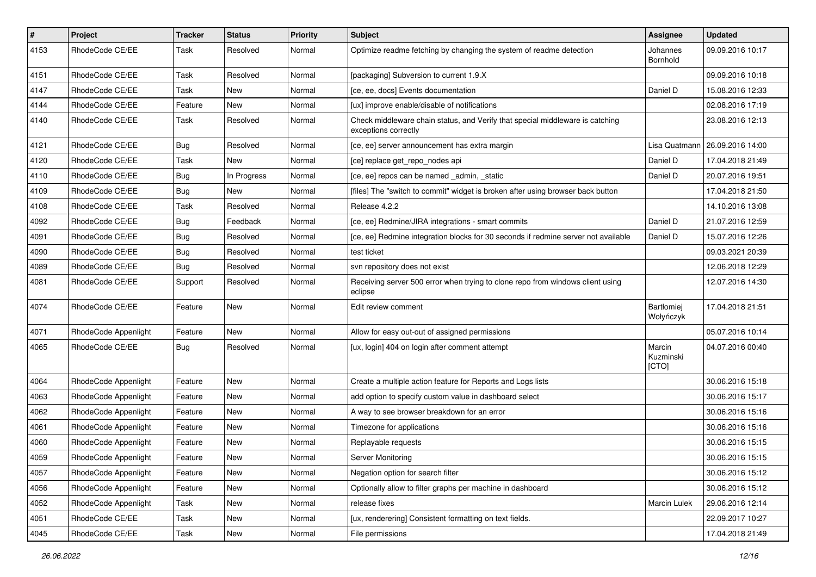| $\pmb{\#}$ | Project              | Tracker    | <b>Status</b> | <b>Priority</b> | Subject                                                                                               | <b>Assignee</b>              | <b>Updated</b>   |
|------------|----------------------|------------|---------------|-----------------|-------------------------------------------------------------------------------------------------------|------------------------------|------------------|
| 4153       | RhodeCode CE/EE      | Task       | Resolved      | Normal          | Optimize readme fetching by changing the system of readme detection                                   | Johannes<br>Bornhold         | 09.09.2016 10:17 |
| 4151       | RhodeCode CE/EE      | Task       | Resolved      | Normal          | [packaging] Subversion to current 1.9.X                                                               |                              | 09.09.2016 10:18 |
| 4147       | RhodeCode CE/EE      | Task       | New           | Normal          | [ce, ee, docs] Events documentation                                                                   | Daniel D                     | 15.08.2016 12:33 |
| 4144       | RhodeCode CE/EE      | Feature    | <b>New</b>    | Normal          | [ux] improve enable/disable of notifications                                                          |                              | 02.08.2016 17:19 |
| 4140       | RhodeCode CE/EE      | Task       | Resolved      | Normal          | Check middleware chain status, and Verify that special middleware is catching<br>exceptions correctly |                              | 23.08.2016 12:13 |
| 4121       | RhodeCode CE/EE      | Bug        | Resolved      | Normal          | [ce, ee] server announcement has extra margin                                                         | Lisa Quatmann                | 26.09.2016 14:00 |
| 4120       | RhodeCode CE/EE      | Task       | New           | Normal          | [ce] replace get_repo_nodes api                                                                       | Daniel D                     | 17.04.2018 21:49 |
| 4110       | RhodeCode CE/EE      | Bug        | In Progress   | Normal          | [ce, ee] repos can be named _admin, _static                                                           | Daniel D                     | 20.07.2016 19:51 |
| 4109       | RhodeCode CE/EE      | Bug        | New           | Normal          | [files] The "switch to commit" widget is broken after using browser back button                       |                              | 17.04.2018 21:50 |
| 4108       | RhodeCode CE/EE      | Task       | Resolved      | Normal          | Release 4.2.2                                                                                         |                              | 14.10.2016 13:08 |
| 4092       | RhodeCode CE/EE      | <b>Bug</b> | Feedback      | Normal          | [ce, ee] Redmine/JIRA integrations - smart commits                                                    | Daniel D                     | 21.07.2016 12:59 |
| 4091       | RhodeCode CE/EE      | <b>Bug</b> | Resolved      | Normal          | [ce, ee] Redmine integration blocks for 30 seconds if redmine server not available                    | Daniel D                     | 15.07.2016 12:26 |
| 4090       | RhodeCode CE/EE      | Bug        | Resolved      | Normal          | test ticket                                                                                           |                              | 09.03.2021 20:39 |
| 4089       | RhodeCode CE/EE      | Bug        | Resolved      | Normal          | svn repository does not exist                                                                         |                              | 12.06.2018 12:29 |
| 4081       | RhodeCode CE/EE      | Support    | Resolved      | Normal          | Receiving server 500 error when trying to clone repo from windows client using<br>eclipse             |                              | 12.07.2016 14:30 |
| 4074       | RhodeCode CE/EE      | Feature    | New           | Normal          | Edit review comment                                                                                   | Bartłomiej<br>Wołyńczyk      | 17.04.2018 21:51 |
| 4071       | RhodeCode Appenlight | Feature    | <b>New</b>    | Normal          | Allow for easy out-out of assigned permissions                                                        |                              | 05.07.2016 10:14 |
| 4065       | RhodeCode CE/EE      | <b>Bug</b> | Resolved      | Normal          | [ux, login] 404 on login after comment attempt                                                        | Marcin<br>Kuzminski<br>[CTO] | 04.07.2016 00:40 |
| 4064       | RhodeCode Appenlight | Feature    | New           | Normal          | Create a multiple action feature for Reports and Logs lists                                           |                              | 30.06.2016 15:18 |
| 4063       | RhodeCode Appenlight | Feature    | New           | Normal          | add option to specify custom value in dashboard select                                                |                              | 30.06.2016 15:17 |
| 4062       | RhodeCode Appenlight | Feature    | New           | Normal          | A way to see browser breakdown for an error                                                           |                              | 30.06.2016 15:16 |
| 4061       | RhodeCode Appenlight | Feature    | New           | Normal          | Timezone for applications                                                                             |                              | 30.06.2016 15:16 |
| 4060       | RhodeCode Appenlight | Feature    | New           | Normal          | Replayable requests                                                                                   |                              | 30.06.2016 15:15 |
| 4059       | RhodeCode Appenlight | Feature    | New           | Normal          | Server Monitoring                                                                                     |                              | 30.06.2016 15:15 |
| 4057       | RhodeCode Appenlight | Feature    | New           | Normal          | Negation option for search filter                                                                     |                              | 30.06.2016 15:12 |
| 4056       | RhodeCode Appenlight | Feature    | New           | Normal          | Optionally allow to filter graphs per machine in dashboard                                            |                              | 30.06.2016 15:12 |
| 4052       | RhodeCode Appenlight | Task       | New           | Normal          | release fixes                                                                                         | Marcin Lulek                 | 29.06.2016 12:14 |
| 4051       | RhodeCode CE/EE      | Task       | New           | Normal          | [ux, renderering] Consistent formatting on text fields.                                               |                              | 22.09.2017 10:27 |
| 4045       | RhodeCode CE/EE      | Task       | New           | Normal          | File permissions                                                                                      |                              | 17.04.2018 21:49 |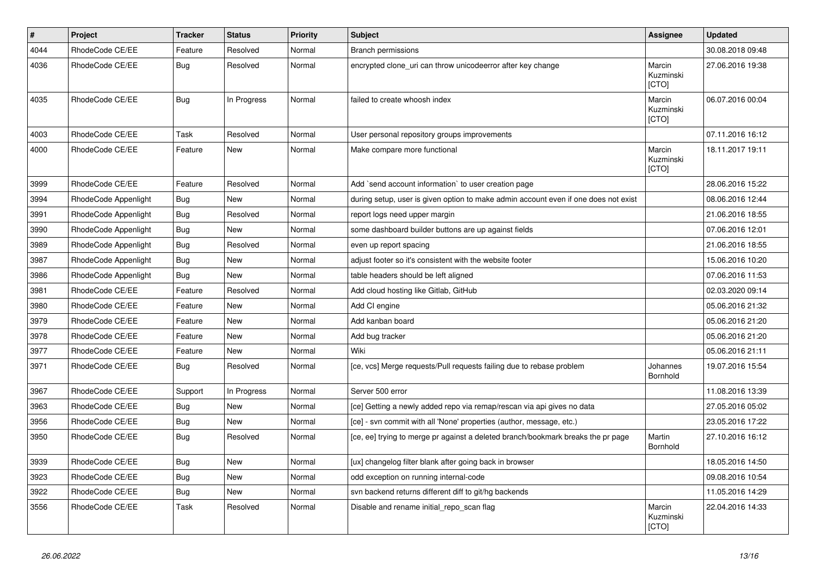| $\pmb{\#}$ | Project              | <b>Tracker</b> | <b>Status</b> | <b>Priority</b> | Subject                                                                             | Assignee                     | <b>Updated</b>   |
|------------|----------------------|----------------|---------------|-----------------|-------------------------------------------------------------------------------------|------------------------------|------------------|
| 4044       | RhodeCode CE/EE      | Feature        | Resolved      | Normal          | <b>Branch permissions</b>                                                           |                              | 30.08.2018 09:48 |
| 4036       | RhodeCode CE/EE      | Bug            | Resolved      | Normal          | encrypted clone_uri can throw unicodeerror after key change                         | Marcin<br>Kuzminski<br>[CTO] | 27.06.2016 19:38 |
| 4035       | RhodeCode CE/EE      | <b>Bug</b>     | In Progress   | Normal          | failed to create whoosh index                                                       | Marcin<br>Kuzminski<br>[CTO] | 06.07.2016 00:04 |
| 4003       | RhodeCode CE/EE      | Task           | Resolved      | Normal          | User personal repository groups improvements                                        |                              | 07.11.2016 16:12 |
| 4000       | RhodeCode CE/EE      | Feature        | New           | Normal          | Make compare more functional                                                        | Marcin<br>Kuzminski<br>[CTO] | 18.11.2017 19:11 |
| 3999       | RhodeCode CE/EE      | Feature        | Resolved      | Normal          | Add `send account information` to user creation page                                |                              | 28.06.2016 15:22 |
| 3994       | RhodeCode Appenlight | Bug            | <b>New</b>    | Normal          | during setup, user is given option to make admin account even if one does not exist |                              | 08.06.2016 12:44 |
| 3991       | RhodeCode Appenlight | Bug            | Resolved      | Normal          | report logs need upper margin                                                       |                              | 21.06.2016 18:55 |
| 3990       | RhodeCode Appenlight | Bug            | New           | Normal          | some dashboard builder buttons are up against fields                                |                              | 07.06.2016 12:01 |
| 3989       | RhodeCode Appenlight | <b>Bug</b>     | Resolved      | Normal          | even up report spacing                                                              |                              | 21.06.2016 18:55 |
| 3987       | RhodeCode Appenlight | Bug            | New           | Normal          | adjust footer so it's consistent with the website footer                            |                              | 15.06.2016 10:20 |
| 3986       | RhodeCode Appenlight | Bug            | <b>New</b>    | Normal          | table headers should be left aligned                                                |                              | 07.06.2016 11:53 |
| 3981       | RhodeCode CE/EE      | Feature        | Resolved      | Normal          | Add cloud hosting like Gitlab, GitHub                                               |                              | 02.03.2020 09:14 |
| 3980       | RhodeCode CE/EE      | Feature        | New           | Normal          | Add CI engine                                                                       |                              | 05.06.2016 21:32 |
| 3979       | RhodeCode CE/EE      | Feature        | <b>New</b>    | Normal          | Add kanban board                                                                    |                              | 05.06.2016 21:20 |
| 3978       | RhodeCode CE/EE      | Feature        | New           | Normal          | Add bug tracker                                                                     |                              | 05.06.2016 21:20 |
| 3977       | RhodeCode CE/EE      | Feature        | New           | Normal          | Wiki                                                                                |                              | 05.06.2016 21:11 |
| 3971       | RhodeCode CE/EE      | Bug            | Resolved      | Normal          | [ce, vcs] Merge requests/Pull requests failing due to rebase problem                | Johannes<br>Bornhold         | 19.07.2016 15:54 |
| 3967       | RhodeCode CE/EE      | Support        | In Progress   | Normal          | Server 500 error                                                                    |                              | 11.08.2016 13:39 |
| 3963       | RhodeCode CE/EE      | Bug            | New           | Normal          | [ce] Getting a newly added repo via remap/rescan via api gives no data              |                              | 27.05.2016 05:02 |
| 3956       | RhodeCode CE/EE      | <b>Bug</b>     | New           | Normal          | [ce] - svn commit with all 'None' properties (author, message, etc.)                |                              | 23.05.2016 17:22 |
| 3950       | RhodeCode CE/EE      | Bug            | Resolved      | Normal          | [ce, ee] trying to merge pr against a deleted branch/bookmark breaks the pr page    | Martin<br>Bornhold           | 27.10.2016 16:12 |
| 3939       | RhodeCode CE/EE      | <b>Bug</b>     | New           | Normal          | [ux] changelog filter blank after going back in browser                             |                              | 18.05.2016 14:50 |
| 3923       | RhodeCode CE/EE      | Bug            | New           | Normal          | odd exception on running internal-code                                              |                              | 09.08.2016 10:54 |
| 3922       | RhodeCode CE/EE      | Bug            | New           | Normal          | svn backend returns different diff to git/hg backends                               |                              | 11.05.2016 14:29 |
| 3556       | RhodeCode CE/EE      | Task           | Resolved      | Normal          | Disable and rename initial_repo_scan flag                                           | Marcin<br>Kuzminski<br>[CTO] | 22.04.2016 14:33 |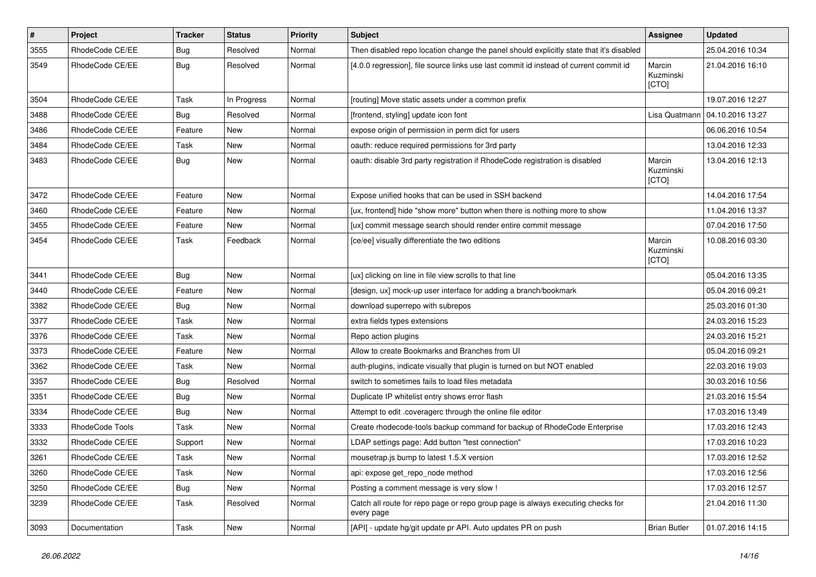| $\pmb{\#}$ | Project         | <b>Tracker</b> | <b>Status</b> | <b>Priority</b> | <b>Subject</b>                                                                                | Assignee                     | <b>Updated</b>   |
|------------|-----------------|----------------|---------------|-----------------|-----------------------------------------------------------------------------------------------|------------------------------|------------------|
| 3555       | RhodeCode CE/EE | <b>Bug</b>     | Resolved      | Normal          | Then disabled repo location change the panel should explicitly state that it's disabled       |                              | 25.04.2016 10:34 |
| 3549       | RhodeCode CE/EE | Bug            | Resolved      | Normal          | [4.0.0 regression], file source links use last commit id instead of current commit id         | Marcin<br>Kuzminski<br>[CTO] | 21.04.2016 16:10 |
| 3504       | RhodeCode CE/EE | Task           | In Progress   | Normal          | [routing] Move static assets under a common prefix                                            |                              | 19.07.2016 12:27 |
| 3488       | RhodeCode CE/EE | Bug            | Resolved      | Normal          | [frontend, styling] update icon font                                                          | Lisa Quatmann                | 04.10.2016 13:27 |
| 3486       | RhodeCode CE/EE | Feature        | New           | Normal          | expose origin of permission in perm dict for users                                            |                              | 06.06.2016 10:54 |
| 3484       | RhodeCode CE/EE | Task           | New           | Normal          | oauth: reduce required permissions for 3rd party                                              |                              | 13.04.2016 12:33 |
| 3483       | RhodeCode CE/EE | Bug            | New           | Normal          | oauth: disable 3rd party registration if RhodeCode registration is disabled                   | Marcin<br>Kuzminski<br>[CTO] | 13.04.2016 12:13 |
| 3472       | RhodeCode CE/EE | Feature        | <b>New</b>    | Normal          | Expose unified hooks that can be used in SSH backend                                          |                              | 14.04.2016 17:54 |
| 3460       | RhodeCode CE/EE | Feature        | <b>New</b>    | Normal          | [ux, frontend] hide "show more" button when there is nothing more to show                     |                              | 11.04.2016 13:37 |
| 3455       | RhodeCode CE/EE | Feature        | New           | Normal          | [ux] commit message search should render entire commit message                                |                              | 07.04.2016 17:50 |
| 3454       | RhodeCode CE/EE | Task           | Feedback      | Normal          | [ce/ee] visually differentiate the two editions                                               | Marcin<br>Kuzminski<br>[CTO] | 10.08.2016 03:30 |
| 3441       | RhodeCode CE/EE | Bug            | <b>New</b>    | Normal          | [ux] clicking on line in file view scrolls to that line                                       |                              | 05.04.2016 13:35 |
| 3440       | RhodeCode CE/EE | Feature        | New           | Normal          | [design, ux] mock-up user interface for adding a branch/bookmark                              |                              | 05.04.2016 09:21 |
| 3382       | RhodeCode CE/EE | Bug            | New           | Normal          | download superrepo with subrepos                                                              |                              | 25.03.2016 01:30 |
| 3377       | RhodeCode CE/EE | Task           | New           | Normal          | extra fields types extensions                                                                 |                              | 24.03.2016 15:23 |
| 3376       | RhodeCode CE/EE | Task           | New           | Normal          | Repo action plugins                                                                           |                              | 24.03.2016 15:21 |
| 3373       | RhodeCode CE/EE | Feature        | New           | Normal          | Allow to create Bookmarks and Branches from UI                                                |                              | 05.04.2016 09:21 |
| 3362       | RhodeCode CE/EE | Task           | New           | Normal          | auth-plugins, indicate visually that plugin is turned on but NOT enabled                      |                              | 22.03.2016 19:03 |
| 3357       | RhodeCode CE/EE | Bug            | Resolved      | Normal          | switch to sometimes fails to load files metadata                                              |                              | 30.03.2016 10:56 |
| 3351       | RhodeCode CE/EE | <b>Bug</b>     | New           | Normal          | Duplicate IP whitelist entry shows error flash                                                |                              | 21.03.2016 15:54 |
| 3334       | RhodeCode CE/EE | Bug            | New           | Normal          | Attempt to edit .coveragerc through the online file editor                                    |                              | 17.03.2016 13:49 |
| 3333       | RhodeCode Tools | Task           | New           | Normal          | Create rhodecode-tools backup command for backup of RhodeCode Enterprise                      |                              | 17.03.2016 12:43 |
| 3332       | RhodeCode CE/EE | Support        | <b>New</b>    | Normal          | LDAP settings page: Add button "test connection"                                              |                              | 17.03.2016 10:23 |
| 3261       | RhodeCode CE/EE | Task           | New           | Normal          | mousetrap.js bump to latest 1.5.X version                                                     |                              | 17.03.2016 12:52 |
| 3260       | RhodeCode CE/EE | Task           | New           | Normal          | api: expose get_repo_node method                                                              |                              | 17.03.2016 12:56 |
| 3250       | RhodeCode CE/EE | <b>Bug</b>     | New           | Normal          | Posting a comment message is very slow !                                                      |                              | 17.03.2016 12:57 |
| 3239       | RhodeCode CE/EE | Task           | Resolved      | Normal          | Catch all route for repo page or repo group page is always executing checks for<br>every page |                              | 21.04.2016 11:30 |
| 3093       | Documentation   | Task           | New           | Normal          | [API] - update hg/git update pr API. Auto updates PR on push                                  | <b>Brian Butler</b>          | 01.07.2016 14:15 |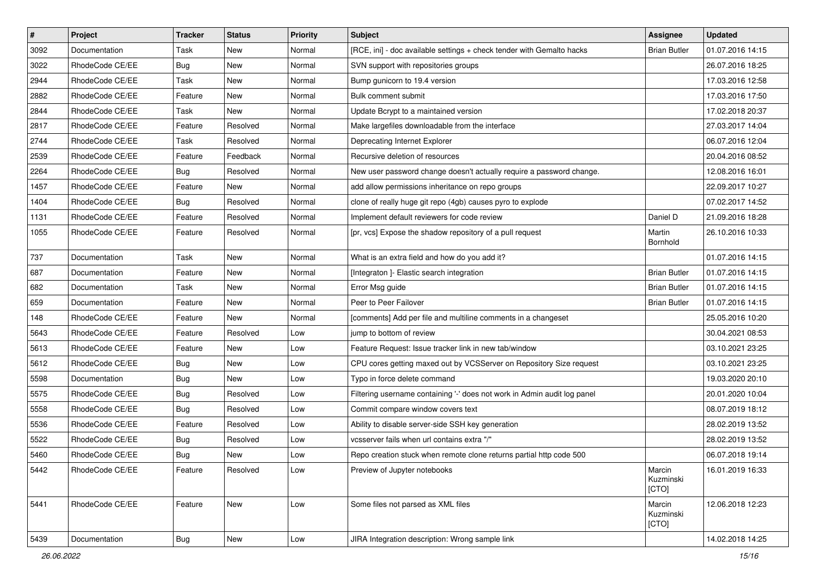| $\pmb{\#}$ | Project         | <b>Tracker</b> | <b>Status</b> | <b>Priority</b> | <b>Subject</b>                                                           | <b>Assignee</b>              | <b>Updated</b>   |
|------------|-----------------|----------------|---------------|-----------------|--------------------------------------------------------------------------|------------------------------|------------------|
| 3092       | Documentation   | Task           | New           | Normal          | [RCE, ini] - doc available settings + check tender with Gemalto hacks    | <b>Brian Butler</b>          | 01.07.2016 14:15 |
| 3022       | RhodeCode CE/EE | Bug            | <b>New</b>    | Normal          | SVN support with repositories groups                                     |                              | 26.07.2016 18:25 |
| 2944       | RhodeCode CE/EE | Task           | New           | Normal          | Bump gunicorn to 19.4 version                                            |                              | 17.03.2016 12:58 |
| 2882       | RhodeCode CE/EE | Feature        | New           | Normal          | Bulk comment submit                                                      |                              | 17.03.2016 17:50 |
| 2844       | RhodeCode CE/EE | Task           | <b>New</b>    | Normal          | Update Bcrypt to a maintained version                                    |                              | 17.02.2018 20:37 |
| 2817       | RhodeCode CE/EE | Feature        | Resolved      | Normal          | Make largefiles downloadable from the interface                          |                              | 27.03.2017 14:04 |
| 2744       | RhodeCode CE/EE | Task           | Resolved      | Normal          | Deprecating Internet Explorer                                            |                              | 06.07.2016 12:04 |
| 2539       | RhodeCode CE/EE | Feature        | Feedback      | Normal          | Recursive deletion of resources                                          |                              | 20.04.2016 08:52 |
| 2264       | RhodeCode CE/EE | Bug            | Resolved      | Normal          | New user password change doesn't actually require a password change.     |                              | 12.08.2016 16:01 |
| 1457       | RhodeCode CE/EE | Feature        | New           | Normal          | add allow permissions inheritance on repo groups                         |                              | 22.09.2017 10:27 |
| 1404       | RhodeCode CE/EE | Bug            | Resolved      | Normal          | clone of really huge git repo (4gb) causes pyro to explode               |                              | 07.02.2017 14:52 |
| 1131       | RhodeCode CE/EE | Feature        | Resolved      | Normal          | Implement default reviewers for code review                              | Daniel D                     | 21.09.2016 18:28 |
| 1055       | RhodeCode CE/EE | Feature        | Resolved      | Normal          | [pr, vcs] Expose the shadow repository of a pull request                 | Martin<br>Bornhold           | 26.10.2016 10:33 |
| 737        | Documentation   | Task           | New           | Normal          | What is an extra field and how do you add it?                            |                              | 01.07.2016 14:15 |
| 687        | Documentation   | Feature        | <b>New</b>    | Normal          | [Integraton ]- Elastic search integration                                | <b>Brian Butler</b>          | 01.07.2016 14:15 |
| 682        | Documentation   | Task           | New           | Normal          | Error Msg guide                                                          | <b>Brian Butler</b>          | 01.07.2016 14:15 |
| 659        | Documentation   | Feature        | <b>New</b>    | Normal          | Peer to Peer Failover                                                    | <b>Brian Butler</b>          | 01.07.2016 14:15 |
| 148        | RhodeCode CE/EE | Feature        | New           | Normal          | [comments] Add per file and multiline comments in a changeset            |                              | 25.05.2016 10:20 |
| 5643       | RhodeCode CE/EE | Feature        | Resolved      | Low             | jump to bottom of review                                                 |                              | 30.04.2021 08:53 |
| 5613       | RhodeCode CE/EE | Feature        | <b>New</b>    | Low             | Feature Request: Issue tracker link in new tab/window                    |                              | 03.10.2021 23:25 |
| 5612       | RhodeCode CE/EE | Bug            | New           | Low             | CPU cores getting maxed out by VCSServer on Repository Size request      |                              | 03.10.2021 23:25 |
| 5598       | Documentation   | Bug            | <b>New</b>    | Low             | Typo in force delete command                                             |                              | 19.03.2020 20:10 |
| 5575       | RhodeCode CE/EE | Bug            | Resolved      | Low             | Filtering username containing '-' does not work in Admin audit log panel |                              | 20.01.2020 10:04 |
| 5558       | RhodeCode CE/EE | Bug            | Resolved      | Low             | Commit compare window covers text                                        |                              | 08.07.2019 18:12 |
| 5536       | RhodeCode CE/EE | Feature        | Resolved      | Low             | Ability to disable server-side SSH key generation                        |                              | 28.02.2019 13:52 |
| 5522       | RhodeCode CE/EE | Bug            | Resolved      | Low             | vcsserver fails when url contains extra "/"                              |                              | 28.02.2019 13:52 |
| 5460       | RhodeCode CE/EE | <b>Bug</b>     | New           | Low             | Repo creation stuck when remote clone returns partial http code 500      |                              | 06.07.2018 19:14 |
| 5442       | RhodeCode CE/EE | Feature        | Resolved      | Low             | Preview of Jupyter notebooks                                             | Marcin<br>Kuzminski<br>[CTO] | 16.01.2019 16:33 |
| 5441       | RhodeCode CE/EE | Feature        | New           | Low             | Some files not parsed as XML files                                       | Marcin<br>Kuzminski<br>[CTO] | 12.06.2018 12:23 |
| 5439       | Documentation   | Bug            | New           | Low             | JIRA Integration description: Wrong sample link                          |                              | 14.02.2018 14:25 |